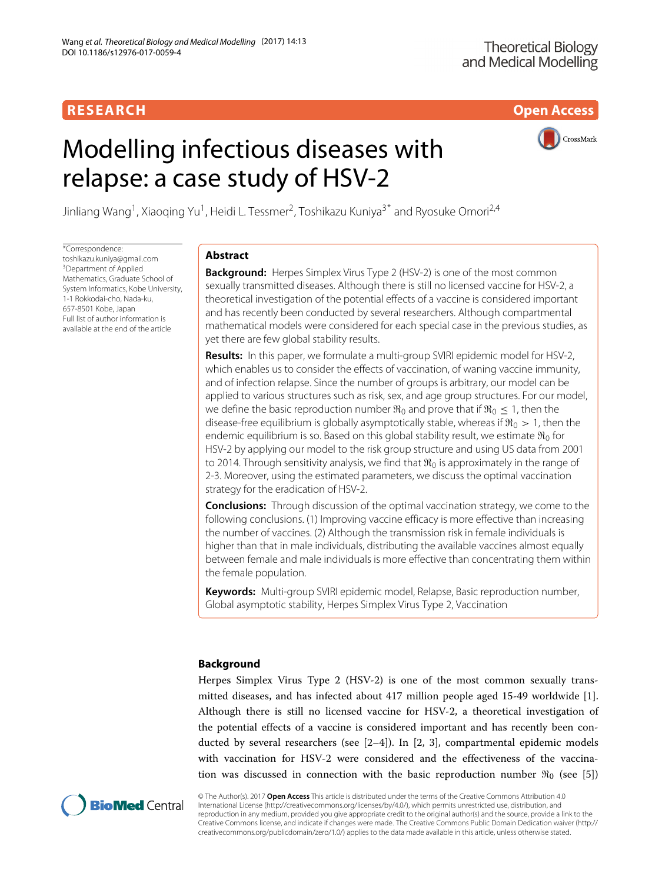**RESEARCH Open Access**

# Modelling infectious diseases with relapse: a case study of HSV-2



Jinliang Wang<sup>1</sup>, Xiaoqing Yu<sup>1</sup>, Heidi L. Tessmer<sup>2</sup>, Toshikazu Kuniya<sup>3\*</sup> and Ryosuke Omori<sup>2,4</sup>

\*Correspondence: [toshikazu.kuniya@gmail.com](mailto: toshikazu.kuniya@gmail.com) 3Department of Applied Mathematics, Graduate School of System Informatics, Kobe University, 1-1 Rokkodai-cho, Nada-ku, 657-8501 Kobe, Japan Full list of author information is available at the end of the article

# **Abstract**

**Background:** Herpes Simplex Virus Type 2 (HSV-2) is one of the most common sexually transmitted diseases. Although there is still no licensed vaccine for HSV-2, a theoretical investigation of the potential effects of a vaccine is considered important and has recently been conducted by several researchers. Although compartmental mathematical models were considered for each special case in the previous studies, as yet there are few global stability results.

**Results:** In this paper, we formulate a multi-group SVIRI epidemic model for HSV-2, which enables us to consider the effects of vaccination, of waning vaccine immunity, and of infection relapse. Since the number of groups is arbitrary, our model can be applied to various structures such as risk, sex, and age group structures. For our model, we define the basic reproduction number  $\Re_0$  and prove that if  $\Re_0 \leq 1$ , then the disease-free equilibrium is globally asymptotically stable, whereas if  $\Re_0 > 1$ , then the endemic equilibrium is so. Based on this global stability result, we estimate  $\Re _0$  for HSV-2 by applying our model to the risk group structure and using US data from 2001 to 2014. Through sensitivity analysis, we find that  $\mathfrak{R}_0$  is approximately in the range of 2-3. Moreover, using the estimated parameters, we discuss the optimal vaccination strategy for the eradication of HSV-2.

**Conclusions:** Through discussion of the optimal vaccination strategy, we come to the following conclusions. (1) Improving vaccine efficacy is more effective than increasing the number of vaccines. (2) Although the transmission risk in female individuals is higher than that in male individuals, distributing the available vaccines almost equally between female and male individuals is more effective than concentrating them within the female population.

**Keywords:** Multi-group SVIRI epidemic model, Relapse, Basic reproduction number, Global asymptotic stability, Herpes Simplex Virus Type 2, Vaccination

# **Background**

Herpes Simplex Virus Type 2 (HSV-2) is one of the most common sexually transmitted diseases, and has infected about 417 million people aged 15-49 worldwide [\[1\]](#page-18-0). Although there is still no licensed vaccine for HSV-2, a theoretical investigation of the potential effects of a vaccine is considered important and has recently been conducted by several researchers (see  $[2-4]$  $[2-4]$ ). In  $[2, 3]$  $[2, 3]$ , compartmental epidemic models with vaccination for HSV-2 were considered and the effectiveness of the vaccination was discussed in connection with the basic reproduction number  $\Re_0$  (see [\[5\]](#page-18-4))



© The Author(s). 2017 **Open Access** This article is distributed under the terms of the Creative Commons Attribution 4.0 International License [\(http://creativecommons.org/licenses/by/4.0/\)](http://creativecommons.org/licenses/by/4.0/), which permits unrestricted use, distribution, and reproduction in any medium, provided you give appropriate credit to the original author(s) and the source, provide a link to the Creative Commons license, and indicate if changes were made. The Creative Commons Public Domain Dedication waiver [\(http://](http://creativecommons.org/publicdomain/zero/1.0/) [creativecommons.org/publicdomain/zero/1.0/\)](http://creativecommons.org/publicdomain/zero/1.0/) applies to the data made available in this article, unless otherwise stated.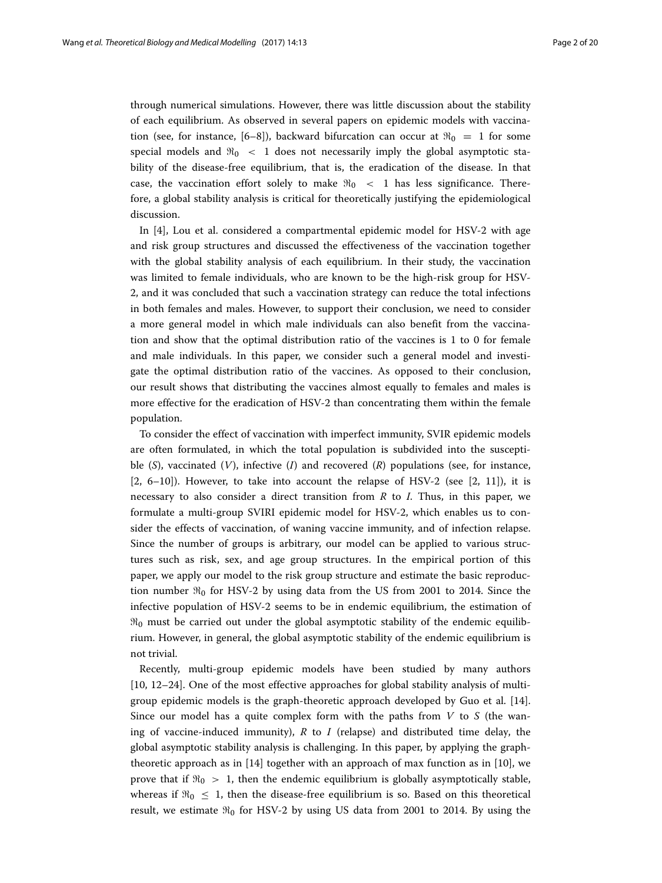through numerical simulations. However, there was little discussion about the stability of each equilibrium. As observed in several papers on epidemic models with vaccina-tion (see, for instance, [\[6–](#page-18-5)[8\]](#page-18-6)), backward bifurcation can occur at  $\Re_0 = 1$  for some special models and  $\Re_0$  < 1 does not necessarily imply the global asymptotic stability of the disease-free equilibrium, that is, the eradication of the disease. In that case, the vaccination effort solely to make  $\Re_0$   $\lt$  1 has less significance. Therefore, a global stability analysis is critical for theoretically justifying the epidemiological discussion.

In [\[4\]](#page-18-2), Lou et al. considered a compartmental epidemic model for HSV-2 with age and risk group structures and discussed the effectiveness of the vaccination together with the global stability analysis of each equilibrium. In their study, the vaccination was limited to female individuals, who are known to be the high-risk group for HSV-2, and it was concluded that such a vaccination strategy can reduce the total infections in both females and males. However, to support their conclusion, we need to consider a more general model in which male individuals can also benefit from the vaccination and show that the optimal distribution ratio of the vaccines is 1 to 0 for female and male individuals. In this paper, we consider such a general model and investigate the optimal distribution ratio of the vaccines. As opposed to their conclusion, our result shows that distributing the vaccines almost equally to females and males is more effective for the eradication of HSV-2 than concentrating them within the female population.

To consider the effect of vaccination with imperfect immunity, SVIR epidemic models are often formulated, in which the total population is subdivided into the susceptible (*S*), vaccinated (*V*), infective (*I*) and recovered (*R*) populations (see, for instance,  $[2, 6-10]$  $[2, 6-10]$  $[2, 6-10]$ ). However, to take into account the relapse of HSV-2 (see  $[2, 11]$  $[2, 11]$ ), it is necessary to also consider a direct transition from *R* to *I*. Thus, in this paper, we formulate a multi-group SVIRI epidemic model for HSV-2, which enables us to consider the effects of vaccination, of waning vaccine immunity, and of infection relapse. Since the number of groups is arbitrary, our model can be applied to various structures such as risk, sex, and age group structures. In the empirical portion of this paper, we apply our model to the risk group structure and estimate the basic reproduction number  $\Re_0$  for HSV-2 by using data from the US from 2001 to 2014. Since the infective population of HSV-2 seems to be in endemic equilibrium, the estimation of  $\mathfrak{R}_0$  must be carried out under the global asymptotic stability of the endemic equilibrium. However, in general, the global asymptotic stability of the endemic equilibrium is not trivial.

Recently, multi-group epidemic models have been studied by many authors [\[10,](#page-18-7) [12–](#page-18-9)[24\]](#page-19-0). One of the most effective approaches for global stability analysis of multigroup epidemic models is the graph-theoretic approach developed by Guo et al. [\[14\]](#page-18-10). Since our model has a quite complex form with the paths from *V* to *S* (the waning of vaccine-induced immunity),  $R$  to  $I$  (relapse) and distributed time delay, the global asymptotic stability analysis is challenging. In this paper, by applying the graphtheoretic approach as in [\[14\]](#page-18-10) together with an approach of max function as in [\[10\]](#page-18-7), we prove that if  $\Re_0 > 1$ , then the endemic equilibrium is globally asymptotically stable, whereas if  $\Re_0 \leq 1$ , then the disease-free equilibrium is so. Based on this theoretical result, we estimate  $\Re_0$  for HSV-2 by using US data from 2001 to 2014. By using the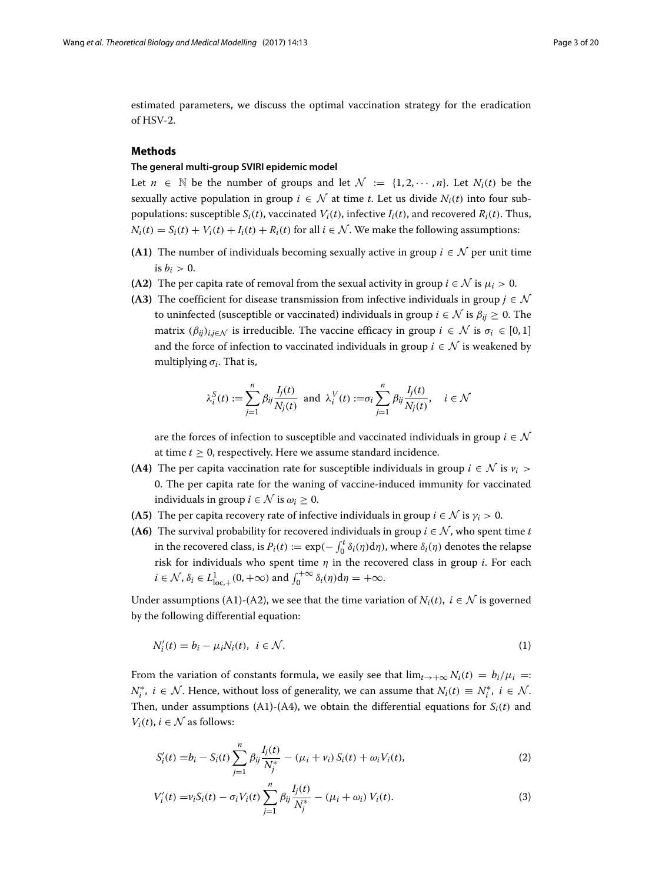estimated parameters, we discuss the optimal vaccination strategy for the eradication of HSV-2.

# **Methods**

# **The general multi-group SVIRI epidemic model**

Let  $n \in \mathbb{N}$  be the number of groups and let  $\mathcal{N} := \{1, 2, \dots, n\}$ . Let  $N_i(t)$  be the sexually active population in group  $i \in \mathcal{N}$  at time *t*. Let us divide  $N_i(t)$  into four subpopulations: susceptible  $S_i(t)$ , vaccinated  $V_i(t)$ , infective  $I_i(t)$ , and recovered  $R_i(t)$ . Thus,  $N_i(t) = S_i(t) + V_i(t) + I_i(t) + R_i(t)$  for all  $i \in \mathcal{N}$ . We make the following assumptions:

- **(A1)** The number of individuals becoming sexually active in group  $i \in \mathcal{N}$  per unit time is  $b_i > 0$ .
- **(A2)** The per capita rate of removal from the sexual activity in group  $i \in \mathcal{N}$  is  $\mu_i > 0$ .
- **(A3)** The coefficient for disease transmission from infective individuals in group  $j \in \mathcal{N}$ to uninfected (susceptible or vaccinated) individuals in group  $i \in \mathcal{N}$  is  $\beta_{ii} \geq 0$ . The matrix  $(\beta_{ij})_{i,j \in \mathcal{N}}$  is irreducible. The vaccine efficacy in group  $i \in \mathcal{N}$  is  $\sigma_i \in [0,1]$ and the force of infection to vaccinated individuals in group  $i \in \mathcal{N}$  is weakened by multiplying  $\sigma_i$ . That is,

<span id="page-2-0"></span>
$$
\lambda_i^S(t) := \sum_{j=1}^n \beta_{ij} \frac{I_j(t)}{N_j(t)} \text{ and } \lambda_i^V(t) := \sigma_i \sum_{j=1}^n \beta_{ij} \frac{I_j(t)}{N_j(t)}, \quad i \in \mathcal{N}
$$

are the forces of infection to susceptible and vaccinated individuals in group  $i \in \mathcal{N}$ at time *t* ≥ 0, respectively. Here we assume standard incidence.

- **(A4)** The per capita vaccination rate for susceptible individuals in group  $i \in \mathcal{N}$  is  $v_i >$ 0. The per capita rate for the waning of vaccine-induced immunity for vaccinated individuals in group  $i \in \mathcal{N}$  is  $\omega_i > 0$ .
- **(A5)** The per capita recovery rate of infective individuals in group  $i \in \mathcal{N}$  is  $\gamma_i > 0$ .
- **(A6)** The survival probability for recovered individuals in group  $i \in \mathcal{N}$ , who spent time *t* in the recovered class, is  $P_i(t) := \exp(-\int_0^t \delta_i(\eta) d\eta)$ , where  $\delta_i(\eta)$  denotes the relapse risk for individuals who spent time  $\eta$  in the recovered class in group *i*. For each  $i \in \mathcal{N}, \delta_i \in L^1_{loc,+}(0, +\infty)$  and  $\int_0^{+\infty} \delta_i(\eta) d\eta = +\infty$ .

Under assumptions (A1)-(A2), we see that the time variation of  $N_i(t)$ ,  $i \in \mathcal{N}$  is governed by the following differential equation:

$$
N_i'(t) = b_i - \mu_i N_i(t), \quad i \in \mathcal{N}.\tag{1}
$$

From the variation of constants formula, we easily see that  $\lim_{t\to+\infty} N_i(t) = b_i/\mu_i =$ *N*<sup>∗</sup>, *i* ∈  $N$ . Hence, without loss of generality, we can assume that  $N_i(t) \equiv N_i^*$ ,  $i \in N$ . Then, under assumptions (A1)-(A4), we obtain the differential equations for  $S_i(t)$  and  $V_i(t)$ ,  $i \in \mathcal{N}$  as follows:

$$
S'_{i}(t) = b_{i} - S_{i}(t) \sum_{j=1}^{n} \beta_{ij} \frac{I_{j}(t)}{N_{j}^{*}} - (\mu_{i} + \nu_{i}) S_{i}(t) + \omega_{i} V_{i}(t),
$$
\n(2)

$$
V'_{i}(t) = v_{i}S_{i}(t) - \sigma_{i}V_{i}(t)\sum_{j=1}^{n} \beta_{ij}\frac{I_{j}(t)}{N_{j}^{*}} - (\mu_{i} + \omega_{i})V_{i}(t).
$$
\n(3)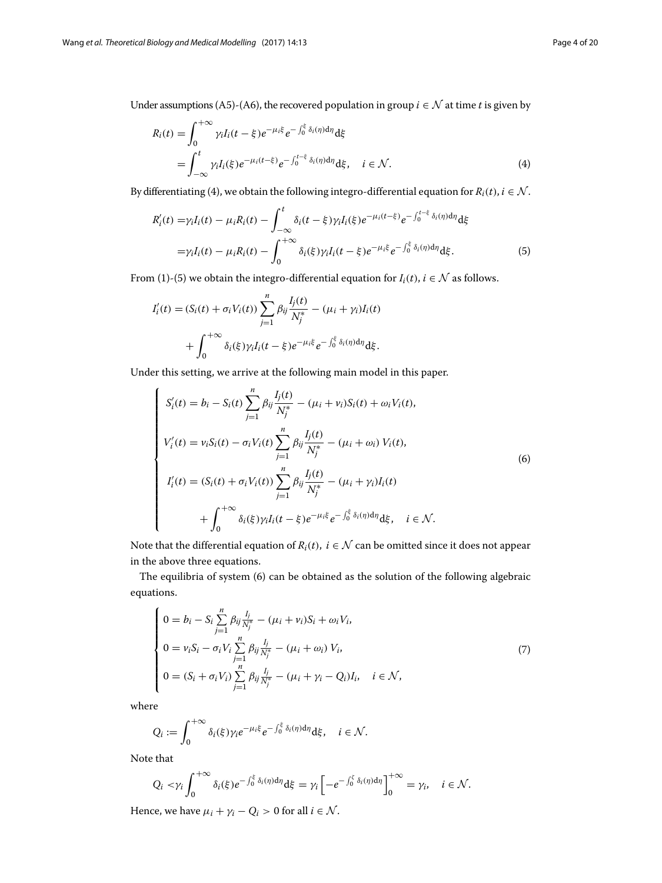Under assumptions (A5)-(A6), the recovered population in group *i* ∈  $N$  at time *t* is given by

<span id="page-3-0"></span>
$$
R_i(t) = \int_0^{+\infty} \gamma_i I_i(t - \xi) e^{-\mu_i \xi} e^{-\int_0^{\xi} \delta_i(\eta) d\eta} d\xi
$$
  
= 
$$
\int_{-\infty}^t \gamma_i I_i(\xi) e^{-\mu_i(t - \xi)} e^{-\int_0^{t - \xi} \delta_i(\eta) d\eta} d\xi, \quad i \in \mathcal{N}.
$$
 (4)

By differentiating [\(4\)](#page-3-0), we obtain the following integro-differential equation for  $R_i(t)$ ,  $i \in \mathcal{N}$ .

<span id="page-3-1"></span>
$$
R'_{i}(t) = \gamma_{i}I_{i}(t) - \mu_{i}R_{i}(t) - \int_{-\infty}^{t} \delta_{i}(t - \xi)\gamma_{i}I_{i}(\xi)e^{-\mu_{i}(t - \xi)}e^{-\int_{0}^{t - \xi}\delta_{i}(\eta)d\eta}d\xi
$$
  
=  $\gamma_{i}I_{i}(t) - \mu_{i}R_{i}(t) - \int_{0}^{+\infty}\delta_{i}(\xi)\gamma_{i}I_{i}(t - \xi)e^{-\mu_{i}\xi}e^{-\int_{0}^{\xi}\delta_{i}(\eta)d\eta}d\xi.$  (5)

From [\(1\)](#page-2-0)-[\(5\)](#page-3-1) we obtain the integro-differential equation for  $I_i(t)$ ,  $i \in \mathcal{N}$  as follows.

$$
I'_i(t) = (S_i(t) + \sigma_i V_i(t)) \sum_{j=1}^n \beta_{ij} \frac{I_j(t)}{N_j^*} - (\mu_i + \gamma_i) I_i(t)
$$
  
+ 
$$
\int_0^{+\infty} \delta_i(\xi) \gamma_i I_i(t - \xi) e^{-\mu_i \xi} e^{-\int_0^{\xi} \delta_i(\eta) d\eta} d\xi.
$$

Under this setting, we arrive at the following main model in this paper.

<span id="page-3-2"></span>
$$
\begin{cases}\nS'_{i}(t) = b_{i} - S_{i}(t) \sum_{j=1}^{n} \beta_{ij} \frac{I_{j}(t)}{N_{j}^{*}} - (\mu_{i} + \nu_{i}) S_{i}(t) + \omega_{i} V_{i}(t), \\
V'_{i}(t) = \nu_{i} S_{i}(t) - \sigma_{i} V_{i}(t) \sum_{j=1}^{n} \beta_{ij} \frac{I_{j}(t)}{N_{j}^{*}} - (\mu_{i} + \omega_{i}) V_{i}(t), \\
I'_{i}(t) = (S_{i}(t) + \sigma_{i} V_{i}(t)) \sum_{j=1}^{n} \beta_{ij} \frac{I_{j}(t)}{N_{j}^{*}} - (\mu_{i} + \gamma_{i}) I_{i}(t) \\
+ \int_{0}^{+\infty} \delta_{i}(\xi) \gamma_{i} I_{i}(t - \xi) e^{-\mu_{i} \xi} e^{-\int_{0}^{\xi} \delta_{i}(\eta) d\eta} d\xi, \quad i \in \mathcal{N}.\n\end{cases}
$$
\n(6)

Note that the differential equation of  $R_i(t)$ ,  $i \in \mathcal{N}$  can be omitted since it does not appear in the above three equations.

The equilibria of system [\(6\)](#page-3-2) can be obtained as the solution of the following algebraic equations.

<span id="page-3-3"></span>
$$
\begin{cases}\n0 = b_i - S_i \sum_{j=1}^{n} \beta_{ij} \frac{I_j}{N_j^*} - (\mu_i + \nu_i) S_i + \omega_i V_i, \\
0 = \nu_i S_i - \sigma_i V_i \sum_{j=1}^{n} \beta_{ij} \frac{I_j}{N_j^*} - (\mu_i + \omega_i) V_i, \\
0 = (S_i + \sigma_i V_i) \sum_{j=1}^{n} \beta_{ij} \frac{I_j}{N_j^*} - (\mu_i + \gamma_i - Q_i) I_i, \quad i \in \mathcal{N},\n\end{cases}
$$
\n(7)

where

$$
Q_i := \int_0^{+\infty} \delta_i(\xi) \gamma_i e^{-\mu_i \xi} e^{-\int_0^{\xi} \delta_i(\eta) d\eta} d\xi, \quad i \in \mathcal{N}.
$$

Note that

$$
Q_i < \gamma_i \int_0^{+\infty} \delta_i(\xi) e^{-\int_0^{\xi} \delta_i(\eta) d\eta} d\xi = \gamma_i \left[ -e^{-\int_0^{\xi} \delta_i(\eta) d\eta} \right]_0^{+\infty} = \gamma_i, \quad i \in \mathcal{N}.
$$

Hence, we have  $\mu_i + \gamma_i - Q_i > 0$  for all  $i \in \mathcal{N}$ .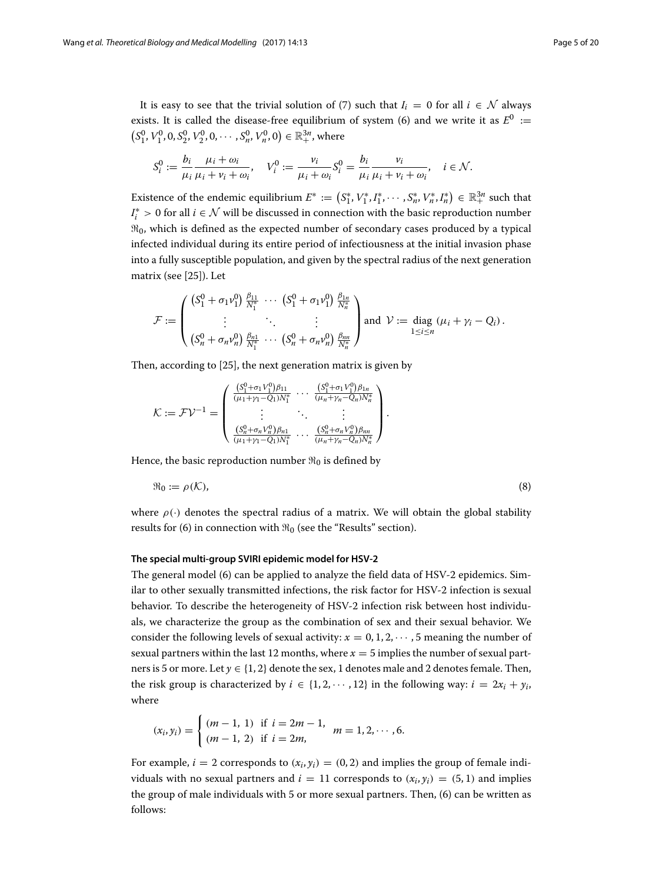It is easy to see that the trivial solution of [\(7\)](#page-3-3) such that  $I_i = 0$  for all  $i \in \mathcal{N}$  always exists. It is called the disease-free equilibrium of system [\(6\)](#page-3-2) and we write it as  $E^0 :=$  $(S_1^0, V_1^0, 0, S_2^0, V_2^0, 0, \cdots, S_n^0, V_n^0, 0) \in \mathbb{R}_+^{3n}$ , where

$$
S_i^0 := \frac{b_i}{\mu_i} \frac{\mu_i + \omega_i}{\mu_i + \nu_i + \omega_i}, \quad V_i^0 := \frac{\nu_i}{\mu_i + \omega_i} S_i^0 = \frac{b_i}{\mu_i} \frac{\nu_i}{\mu_i + \nu_i + \omega_i}, \quad i \in \mathcal{N}.
$$

Existence of the endemic equilibrium  $E^* := (S_1^*, V_1^*, I_1^*, \cdots, S_n^*, V_n^*, I_n^*) \in \mathbb{R}_+^{3n}$  such that *I*<sup>∗</sup> > 0 for all *i* ∈ N will be discussed in connection with the basic reproduction number  $\mathfrak{R}_0$ , which is defined as the expected number of secondary cases produced by a typical infected individual during its entire period of infectiousness at the initial invasion phase into a fully susceptible population, and given by the spectral radius of the next generation matrix (see [\[25\]](#page-19-1)). Let

$$
\mathcal{F} := \begin{pmatrix} (S_1^0 + \sigma_1 \nu_1^0) \frac{\beta_{11}}{N_1^*} \cdots (S_1^0 + \sigma_1 \nu_1^0) \frac{\beta_{1n}}{N_n^*} \\ \vdots & \ddots & \vdots \\ (S_n^0 + \sigma_n \nu_n^0) \frac{\beta_{n1}}{N_1^*} \cdots (S_n^0 + \sigma_n \nu_n^0) \frac{\beta_{nn}}{N_n^*} \end{pmatrix} \text{ and } \mathcal{V} := \text{diag } (\mu_i + \gamma_i - Q_i).
$$

Then, according to [\[25\]](#page-19-1), the next generation matrix is given by

$$
\mathcal{K} := \mathcal{F} \mathcal{V}^{-1} = \begin{pmatrix} \frac{(S_1^0 + \sigma_1 V_1^0) \beta_{11}}{(\mu_1 + \gamma_1 - Q_1) N_1^*} & \cdots & \frac{(S_1^0 + \sigma_1 V_1^0) \beta_{1n}}{(\mu_n + \gamma_n - Q_n) N_n^*} \\ \vdots & \ddots & \vdots \\ \frac{(S_n^0 + \sigma_n V_n^0) \beta_{n1}}{(\mu_1 + \gamma_1 - Q_1) N_1^*} & \cdots & \frac{(S_n^0 + \sigma_n V_n^0) \beta_{nn}}{(\mu_n + \gamma_n - Q_n) N_n^*} \end{pmatrix}.
$$

Hence, the basic reproduction number  $\Re_0$  is defined by

<span id="page-4-1"></span>
$$
\mathfrak{R}_0 := \rho(\mathcal{K}),\tag{8}
$$

where  $\rho(\cdot)$  denotes the spectral radius of a matrix. We will obtain the global stability results for [\(6\)](#page-3-2) in connection with  $\Re_0$  (see the ["Results"](#page-6-0) section).

# **The special multi-group SVIRI epidemic model for HSV-2**

The general model [\(6\)](#page-3-2) can be applied to analyze the field data of HSV-2 epidemics. Similar to other sexually transmitted infections, the risk factor for HSV-2 infection is sexual behavior. To describe the heterogeneity of HSV-2 infection risk between host individuals, we characterize the group as the combination of sex and their sexual behavior. We consider the following levels of sexual activity:  $x = 0, 1, 2, \cdots, 5$  meaning the number of sexual partners within the last 12 months, where  $x = 5$  implies the number of sexual partners is 5 or more. Let  $y \in \{1, 2\}$  denote the sex, 1 denotes male and 2 denotes female. Then, the risk group is characterized by  $i \in \{1, 2, \dots, 12\}$  in the following way:  $i = 2x_i + y_i$ , where

$$
(x_i, y_i) = \begin{cases} (m-1, 1) & \text{if } i = 2m-1, \\ (m-1, 2) & \text{if } i = 2m, \end{cases} m = 1, 2, \cdots, 6.
$$

<span id="page-4-0"></span>For example,  $i = 2$  corresponds to  $(x_i, y_i) = (0, 2)$  and implies the group of female individuals with no sexual partners and  $i = 11$  corresponds to  $(x_i, y_i) = (5, 1)$  and implies the group of male individuals with 5 or more sexual partners. Then, [\(6\)](#page-3-2) can be written as follows: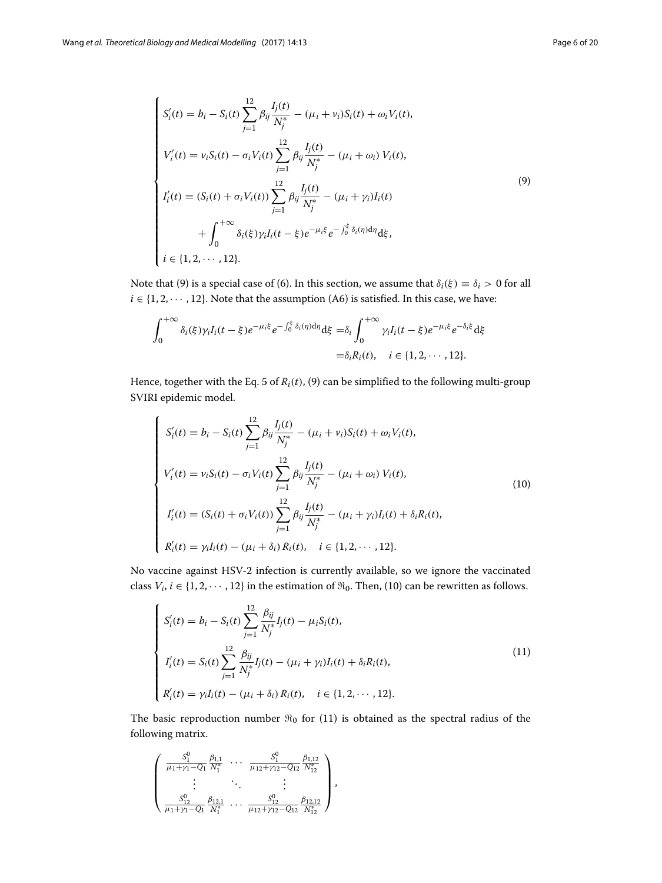$$
\begin{cases}\nS'_{i}(t) = b_{i} - S_{i}(t) \sum_{j=1}^{12} \beta_{ij} \frac{I_{j}(t)}{N_{j}^{*}} - (\mu_{i} + \nu_{i}) S_{i}(t) + \omega_{i} V_{i}(t), \\
V'_{i}(t) = \nu_{i} S_{i}(t) - \sigma_{i} V_{i}(t) \sum_{j=1}^{12} \beta_{ij} \frac{I_{j}(t)}{N_{j}^{*}} - (\mu_{i} + \omega_{i}) V_{i}(t), \\
I'_{i}(t) = (S_{i}(t) + \sigma_{i} V_{i}(t)) \sum_{j=1}^{12} \beta_{ij} \frac{I_{j}(t)}{N_{j}^{*}} - (\mu_{i} + \gamma_{i}) I_{i}(t) \\
+ \int_{0}^{+\infty} \delta_{i}(\xi) \gamma_{i} I_{i}(t - \xi) e^{-\mu_{i} \xi} e^{-\int_{0}^{\xi} \delta_{i}(\eta) d\eta} d\xi, \\
i \in \{1, 2, \dots, 12\}.\n\end{cases}
$$
\n(9)

Note that [\(9\)](#page-4-0) is a special case of [\(6\)](#page-3-2). In this section, we assume that  $\delta_i(\xi) \equiv \delta_i > 0$  for all  $i \in \{1, 2, \cdots, 12\}$ . Note that the assumption (A6) is satisfied. In this case, we have:

$$
\int_0^{+\infty} \delta_i(\xi) \gamma_i I_i(t-\xi) e^{-\mu_i \xi} e^{-\int_0^{\xi} \delta_i(\eta) d\eta} d\xi = \delta_i \int_0^{+\infty} \gamma_i I_i(t-\xi) e^{-\mu_i \xi} e^{-\delta_i \xi} d\xi
$$
  
=  $\delta_i R_i(t), \quad i \in \{1, 2, \cdots, 12\}.$ 

Hence, together with the Eq. [5](#page-3-1) of *Ri*(*t*), [\(9\)](#page-4-0) can be simplified to the following multi-group SVIRI epidemic model.

<span id="page-5-0"></span>
$$
\begin{cases}\nS'_{i}(t) = b_{i} - S_{i}(t) \sum_{j=1}^{12} \beta_{ij} \frac{I_{j}(t)}{N_{j}^{*}} - (\mu_{i} + \nu_{i}) S_{i}(t) + \omega_{i} V_{i}(t), \\
V'_{i}(t) = \nu_{i} S_{i}(t) - \sigma_{i} V_{i}(t) \sum_{j=1}^{12} \beta_{ij} \frac{I_{j}(t)}{N_{j}^{*}} - (\mu_{i} + \omega_{i}) V_{i}(t), \\
I'_{i}(t) = (S_{i}(t) + \sigma_{i} V_{i}(t)) \sum_{j=1}^{12} \beta_{ij} \frac{I_{j}(t)}{N_{j}^{*}} - (\mu_{i} + \gamma_{i}) I_{i}(t) + \delta_{i} R_{i}(t), \\
R'_{i}(t) = \gamma_{i} I_{i}(t) - (\mu_{i} + \delta_{i}) R_{i}(t), \quad i \in \{1, 2, \cdots, 12\}.\n\end{cases}
$$
\n(10)

No vaccine against HSV-2 infection is currently available, so we ignore the vaccinated class *V<sub>i</sub>*,  $i \in \{1, 2, \dots, 12\}$  in the estimation of  $\Re_0$ . Then, [\(10\)](#page-5-0) can be rewritten as follows.

<span id="page-5-1"></span>
$$
\begin{cases}\nS_i'(t) = b_i - S_i(t) \sum_{j=1}^{12} \frac{\beta_{ij}}{N_j^*} I_j(t) - \mu_i S_i(t), \\
I_i'(t) = S_i(t) \sum_{j=1}^{12} \frac{\beta_{ij}}{N_j^*} I_j(t) - (\mu_i + \gamma_i) I_i(t) + \delta_i R_i(t), \\
R_i'(t) = \gamma_i I_i(t) - (\mu_i + \delta_i) R_i(t), \quad i \in \{1, 2, \dots, 12\}.\n\end{cases}
$$
\n(11)

The basic reproduction number  $\Re_0$  for [\(11\)](#page-5-1) is obtained as the spectral radius of the following matrix.

$$
\begin{pmatrix} \frac{S_1^0}{\mu_1 + \gamma_1 - Q_1} \frac{\beta_{1,1}}{N_1^*} & \cdots & \frac{S_1^0}{\mu_{12} + \gamma_{12} - Q_{12}} \frac{\beta_{1,12}}{N_1^*} \\ \vdots & \ddots & \vdots \\ \frac{S_{12}^0}{\mu_1 + \gamma_1 - Q_1} \frac{\beta_{12,1}}{N_1^*} & \cdots & \frac{S_{12}^0}{\mu_{12} + \gamma_{12} - Q_{12}} \frac{\beta_{12,12}}{N_1^*} \end{pmatrix},
$$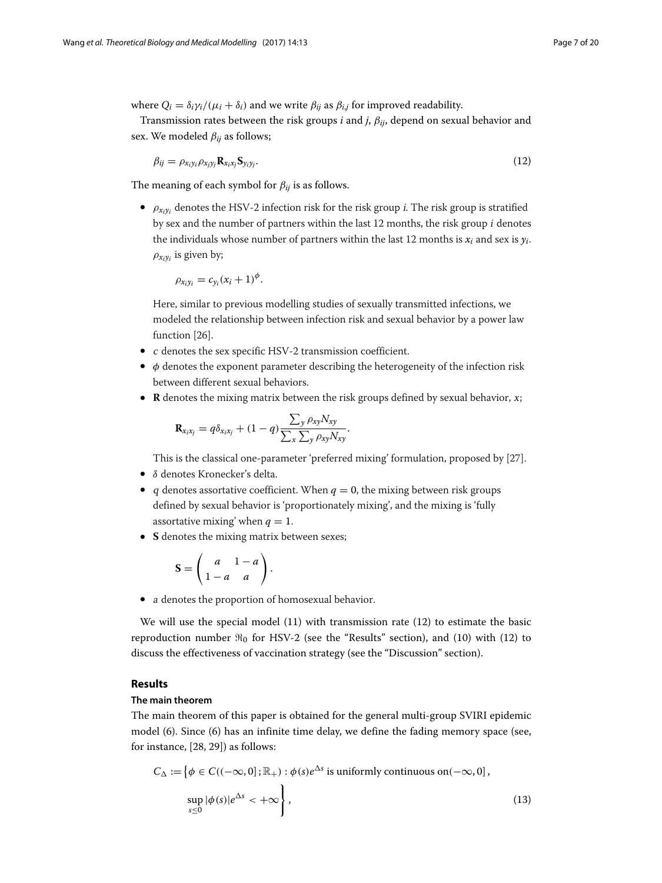where  $Q_i = \delta_i \gamma_i / (\mu_i + \delta_i)$  and we write  $\beta_{ij}$  as  $\beta_{i,j}$  for improved readability.

Transmission rates between the risk groups *i* and *j*, β*ij*, depend on sexual behavior and sex. We modeled  $\beta_{ij}$  as follows;

<span id="page-6-1"></span>
$$
\beta_{ij} = \rho_{x_i y_i} \rho_{x_j y_j} \mathbf{R}_{x_i x_j} \mathbf{S}_{y_i y_j}.
$$
\n(12)

The meaning of each symbol for  $\beta_{ij}$  is as follows.

•  $\rho_{x_i y_i}$  denotes the HSV-2 infection risk for the risk group *i*. The risk group is stratified by sex and the number of partners within the last 12 months, the risk group <sup>i</sup> denotes the individuals whose number of partners within the last 12 months is  $x_i$  and sex is  $y_i$ .  $\rho_{x_i y_i}$  is given by;

$$
\rho_{x_iy_i}=c_{y_i}(x_i+1)^{\phi}.
$$

Here, similar to previous modelling studies of sexually transmitted infections, we modeled the relationship between infection risk and sexual behavior by a power law function [\[26\]](#page-19-2).

- <sup>c</sup> denotes the sex specific HSV-2 transmission coefficient.
- $\bullet$   $\phi$  denotes the exponent parameter describing the heterogeneity of the infection risk between different sexual behaviors.
- **R** denotes the mixing matrix between the risk groups defined by sexual behavior, x;

$$
\mathbf{R}_{x_ix_j} = q\delta_{x_ix_j} + (1-q)\frac{\sum_{y} \rho_{xy} N_{xy}}{\sum_{x} \sum_{y} \rho_{xy} N_{xy}}.
$$

This is the classical one-parameter 'preferred mixing' formulation, proposed by [\[27\]](#page-19-3).

- δ denotes Kronecker's delta.
- *q* denotes assortative coefficient. When  $q = 0$ , the mixing between risk groups defined by sexual behavior is 'proportionately mixing', and the mixing is 'fully assortative mixing' when  $q = 1$ .
- **S** denotes the mixing matrix between sexes;

$$
\mathbf{S} = \left( \begin{array}{cc} a & 1 - a \\ 1 - a & a \end{array} \right).
$$

• <sup>a</sup> denotes the proportion of homosexual behavior.

We will use the special model [\(11\)](#page-5-1) with transmission rate [\(12\)](#page-6-1) to estimate the basic reproduction number  $\Re_0$  for HSV-2 (see the ["Results"](#page-6-0) section), and [\(10\)](#page-5-0) with [\(12\)](#page-6-1) to discuss the effectiveness of vaccination strategy (see the ["Discussion"](#page-8-0) section).

# <span id="page-6-0"></span>**Results**

# **The main theorem**

The main theorem of this paper is obtained for the general multi-group SVIRI epidemic model [\(6\)](#page-3-2). Since [\(6\)](#page-3-2) has an infinite time delay, we define the fading memory space (see, for instance, [\[28,](#page-19-4) [29\]](#page-19-5)) as follows:

$$
C_{\Delta} := \{ \phi \in C((-\infty, 0]; \mathbb{R}_{+}) : \phi(s)e^{\Delta s} \text{ is uniformly continuous on}(-\infty, 0],
$$
  
\n
$$
\sup_{s \leq 0} |\phi(s)|e^{\Delta s} < +\infty \},
$$
\n(13)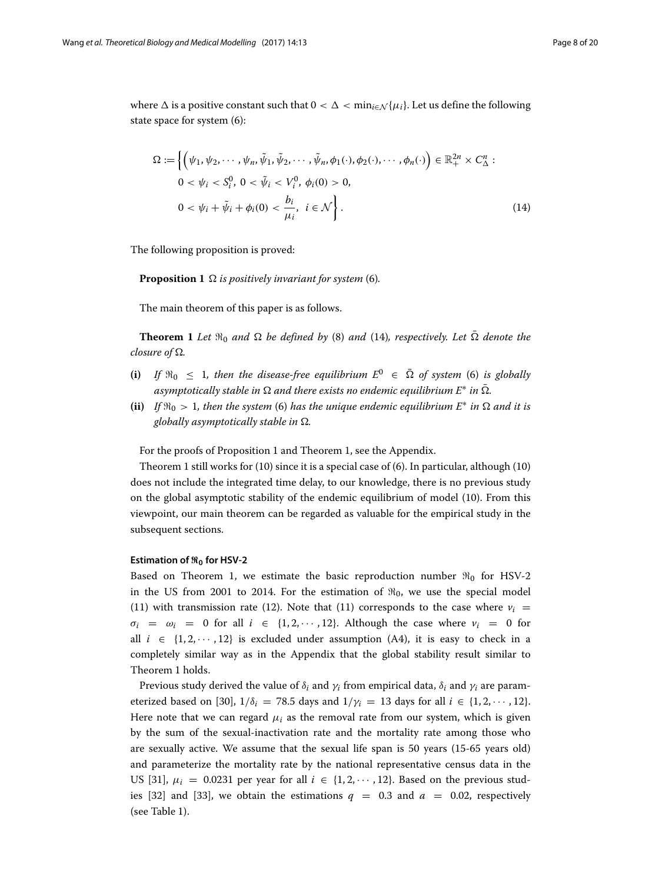where  $\Delta$  is a positive constant such that  $0 < \Delta < \min_{i \in \mathcal{N}} {\{\mu_i\}}$ . Let us define the following state space for system [\(6\)](#page-3-2):

<span id="page-7-0"></span>
$$
\Omega := \left\{ \left( \psi_1, \psi_2, \cdots, \psi_n, \tilde{\psi}_1, \tilde{\psi}_2, \cdots, \tilde{\psi}_n, \phi_1(\cdot), \phi_2(\cdot), \cdots, \phi_n(\cdot) \right) \in \mathbb{R}_+^{2n} \times C^n_{\Delta} : 0 < \psi_i < S_i^0, \ 0 < \tilde{\psi}_i < V_i^0, \ \phi_i(0) > 0, \ 0 < \psi_i + \tilde{\psi}_i + \phi_i(0) < \frac{b_i}{\mu_i}, \ i \in \mathcal{N} \right\}.
$$
\n(14)

The following proposition is proved:

<span id="page-7-1"></span>**Proposition 1**  $\Omega$  *is positively invariant for system* [\(6\)](#page-3-2)*.* 

The main theorem of this paper is as follows.

<span id="page-7-2"></span>**Theorem 1** Let  $\mathfrak{R}_0$  and  $\Omega$  be defined by [\(8\)](#page-4-1) and [\(14\)](#page-7-0), respectively. Let  $\Omega$  denote the *closure of*  $\Omega$ *.* 

- (i) If  $\Re_0 \leq 1$ , then the disease-free equilibrium  $E^0 \in \overline{\Omega}$  of system [\(6\)](#page-3-2) is globally *asymptotically stable in*  $\Omega$  *and there exists no endemic equilibrium*  $E^*$  *in*  $\overline{\Omega}$ *.*
- $(iii)$  *If*  $\Re_0 > 1$ , then the system [\(6\)](#page-3-2) has the unique endemic equilibrium  $E^*$  in  $\Omega$  and it is *globally asymptotically stable in*  $\Omega$ *.*

For the proofs of Proposition [1](#page-7-1) and Theorem [1,](#page-7-2) see the [Appendix.](#page-11-0)

Theorem [1](#page-7-2) still works for [\(10\)](#page-5-0) since it is a special case of [\(6\)](#page-3-2). In particular, although [\(10\)](#page-5-0) does not include the integrated time delay, to our knowledge, there is no previous study on the global asymptotic stability of the endemic equilibrium of model [\(10\)](#page-5-0). From this viewpoint, our main theorem can be regarded as valuable for the empirical study in the subsequent sections.

# **Estimation of -<sup>0</sup> for HSV-2**

Based on Theorem [1,](#page-7-2) we estimate the basic reproduction number  $\Re_0$  for HSV-2 in the US from 2001 to 2014. For the estimation of  $\Re_0$ , we use the special model [\(11\)](#page-5-1) with transmission rate [\(12\)](#page-6-1). Note that (11) corresponds to the case where  $v_i =$  $\sigma_i = \omega_i = 0$  for all  $i \in \{1, 2, \dots, 12\}$ . Although the case where  $\nu_i = 0$  for all  $i \in \{1, 2, \dots, 12\}$  is excluded under assumption (A4), it is easy to check in a completely similar way as in the [Appendix](#page-11-0) that the global stability result similar to Theorem [1](#page-7-2) holds.

Previous study derived the value of  $\delta_i$  and  $\gamma_i$  from empirical data,  $\delta_i$  and  $\gamma_i$  are param-eterized based on [\[30\]](#page-19-6),  $1/\delta_i = 78.5$  days and  $1/\gamma_i = 13$  days for all  $i \in \{1, 2, \dots, 12\}$ . Here note that we can regard  $\mu_i$  as the removal rate from our system, which is given by the sum of the sexual-inactivation rate and the mortality rate among those who are sexually active. We assume that the sexual life span is 50 years (15-65 years old) and parameterize the mortality rate by the national representative census data in the US [\[31\]](#page-19-7),  $\mu_i = 0.0231$  per year for all  $i \in \{1, 2, \dots, 12\}$ . Based on the previous stud-ies [\[32\]](#page-19-8) and [\[33\]](#page-19-9), we obtain the estimations  $q = 0.3$  and  $a = 0.02$ , respectively (see Table [1\)](#page-8-1).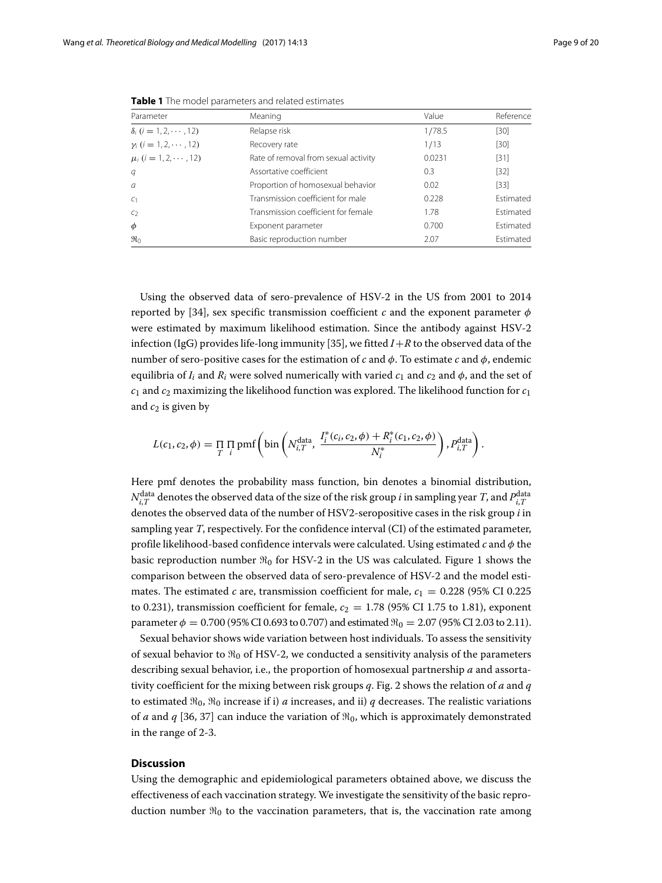<span id="page-8-1"></span>

| Parameter                                    | Meaning                              | Value  | Reference        |
|----------------------------------------------|--------------------------------------|--------|------------------|
| $\delta_i$ ( <i>i</i> = 1, 2, $\cdots$ , 12) | Relapse risk                         | 1/78.5 | [30]             |
| $\gamma_i$ ( <i>i</i> = 1, 2, $\cdots$ , 12) | Recovery rate                        | 1/13   | [30]             |
| $\mu_i$ ( <i>i</i> = 1, 2, $\cdots$ , 12)    | Rate of removal from sexual activity | 0.0231 | $[31]$           |
| q                                            | Assortative coefficient              | 0.3    | $[32]$           |
| $\overline{a}$                               | Proportion of homosexual behavior    | 0.02   | $[33]$           |
| C <sub>1</sub>                               | Transmission coefficient for male    | 0.228  | <b>Fstimated</b> |
| C <sub>2</sub>                               | Transmission coefficient for female  | 1.78   | <b>Fstimated</b> |
| $\phi$                                       | Exponent parameter                   | 0.700  | <b>Fstimated</b> |
| $\mathfrak{R}_0$                             | Basic reproduction number            | 2.07   | Estimated        |

**Table 1** The model parameters and related estimates

Using the observed data of sero-prevalence of HSV-2 in the US from 2001 to 2014 reported by [\[34\]](#page-19-10), sex specific transmission coefficient *c* and the exponent parameter  $\phi$ were estimated by maximum likelihood estimation. Since the antibody against HSV-2 infection (IgG) provides life-long immunity [\[35\]](#page-19-11), we fitted  $I + R$  to the observed data of the number of sero-positive cases for the estimation of *c* and  $\phi$ . To estimate *c* and  $\phi$ , endemic equilibria of  $I_i$  and  $R_i$  were solved numerically with varied  $c_1$  and  $c_2$  and  $\phi$ , and the set of  $c_1$  and  $c_2$  maximizing the likelihood function was explored. The likelihood function for  $c_1$ and  $c_2$  is given by

$$
L(c_1, c_2, \phi) = \prod_{T} \prod_{i} pmf \left( bin \left( N_{i,T}^{data}, \frac{I_i^*(c_i, c_2, \phi) + R_i^*(c_1, c_2, \phi)}{N_i^*} \right), P_{i,T}^{data} \right).
$$

Here pmf denotes the probability mass function, bin denotes a binomial distribution,  $N_{i,T}^{\rm data}$  denotes the observed data of the size of the risk group  $i$  in sampling year  $T$ , and  $P_{i,T}^{\rm data}$ denotes the observed data of the number of HSV2-seropositive cases in the risk group *i* in sampling year *T*, respectively. For the confidence interval (CI) of the estimated parameter, profile likelihood-based confidence intervals were calculated. Using estimated *c* and φ the basic reproduction number  $\Re_0$  for HSV-2 in the US was calculated. Figure [1](#page-9-0) shows the comparison between the observed data of sero-prevalence of HSV-2 and the model estimates. The estimated *c* are, transmission coefficient for male,  $c_1 = 0.228$  (95% CI 0.225) to 0.231), transmission coefficient for female,  $c_2 = 1.78$  (95% CI 1.75 to 1.81), exponent parameter  $\phi = 0.700$  (95% CI 0.693 to 0.707) and estimated  $\Re_0 = 2.07$  (95% CI 2.03 to 2.11).

Sexual behavior shows wide variation between host individuals. To assess the sensitivity of sexual behavior to  $\Re_0$  of HSV-2, we conducted a sensitivity analysis of the parameters describing sexual behavior, i.e., the proportion of homosexual partnership *a* and assortativity coefficient for the mixing between risk groups *q*. Fig. [2](#page-9-1) shows the relation of *a* and *q* to estimated  $\Re_0$ ,  $\Re_0$  increase if i) *a* increases, and ii) *q* decreases. The realistic variations of *a* and *q* [\[36,](#page-19-12) [37\]](#page-19-13) can induce the variation of  $\Re_0$ , which is approximately demonstrated in the range of 2-3.

# <span id="page-8-0"></span>**Discussion**

Using the demographic and epidemiological parameters obtained above, we discuss the effectiveness of each vaccination strategy. We investigate the sensitivity of the basic reproduction number  $\Re_0$  to the vaccination parameters, that is, the vaccination rate among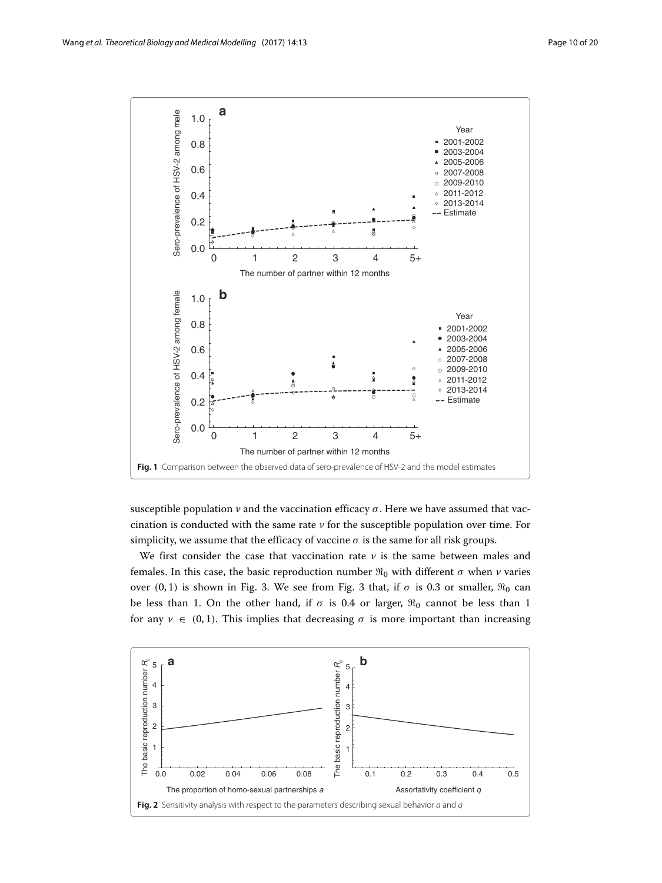

<span id="page-9-0"></span>susceptible population  $\nu$  and the vaccination efficacy  $\sigma$ . Here we have assumed that vaccination is conducted with the same rate *v* for the susceptible population over time. For simplicity, we assume that the efficacy of vaccine  $\sigma$  is the same for all risk groups.

We first consider the case that vaccination rate  $\nu$  is the same between males and females. In this case, the basic reproduction number  $\Re_0$  with different  $\sigma$  when  $\nu$  varies over  $(0, 1)$  is shown in Fig. [3.](#page-10-0) We see from Fig. [3](#page-10-0) that, if  $\sigma$  is 0.3 or smaller,  $\Re_0$  can be less than 1. On the other hand, if  $\sigma$  is 0.4 or larger,  $\Re_0$  cannot be less than 1 for any  $v \in (0, 1)$ . This implies that decreasing  $\sigma$  is more important than increasing

<span id="page-9-1"></span>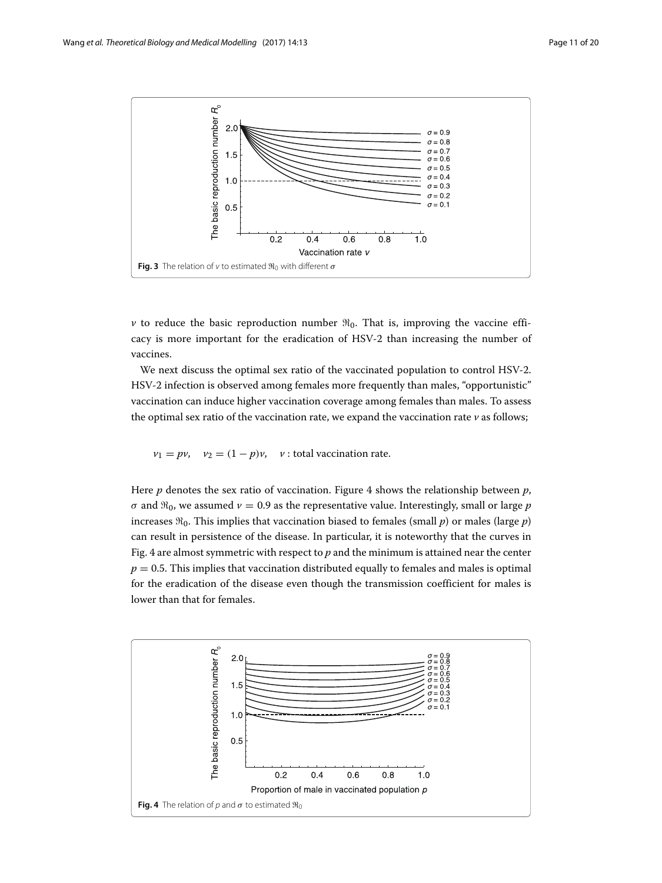

<span id="page-10-0"></span>*v* to reduce the basic reproduction number  $\Re_0$ . That is, improving the vaccine efficacy is more important for the eradication of HSV-2 than increasing the number of vaccines.

We next discuss the optimal sex ratio of the vaccinated population to control HSV-2. HSV-2 infection is observed among females more frequently than males, "opportunistic" vaccination can induce higher vaccination coverage among females than males. To assess the optimal sex ratio of the vaccination rate, we expand the vaccination rate  $\nu$  as follows;

$$
v_1 = pv
$$
,  $v_2 = (1 - p)v$ , v: total vaccination rate.

Here *p* denotes the sex ratio of vaccination. Figure [4](#page-10-1) shows the relationship between *p*,  $\sigma$  and  $\Re_0$ , we assumed  $\nu = 0.9$  as the representative value. Interestingly, small or large  $p$ increases  $\Re_0$ . This implies that vaccination biased to females (small  $p$ ) or males (large  $p$ ) can result in persistence of the disease. In particular, it is noteworthy that the curves in Fig. [4](#page-10-1) are almost symmetric with respect to *p* and the minimum is attained near the center  $p = 0.5$ . This implies that vaccination distributed equally to females and males is optimal for the eradication of the disease even though the transmission coefficient for males is lower than that for females.

<span id="page-10-1"></span>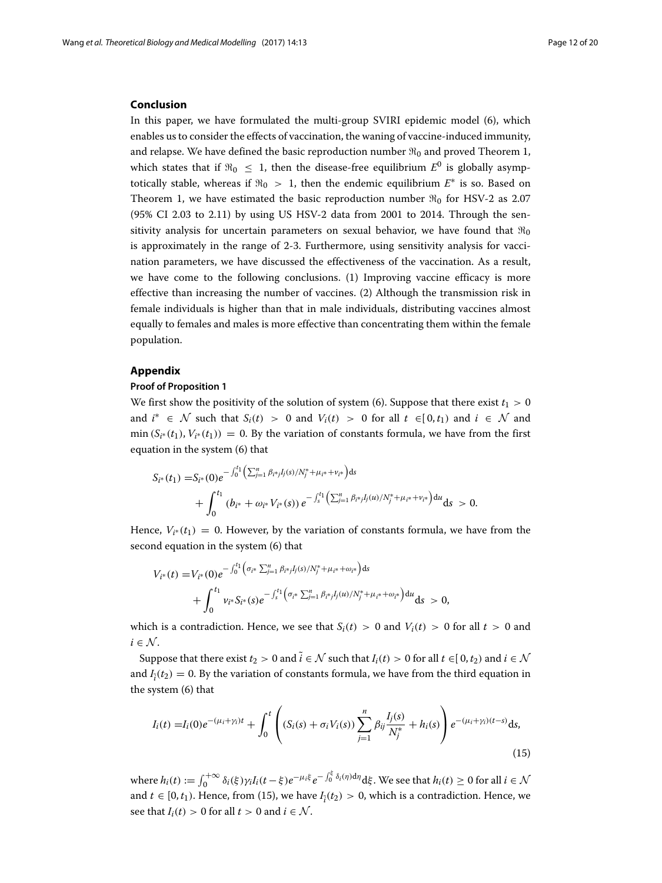#### **Conclusion**

In this paper, we have formulated the multi-group SVIRI epidemic model [\(6\)](#page-3-2), which enables us to consider the effects of vaccination, the waning of vaccine-induced immunity, and relapse. We have defined the basic reproduction number  $\Re_0$  and proved Theorem [1,](#page-7-2) which states that if  $\Re_0 \leq 1$ , then the disease-free equilibrium  $E^0$  is globally asymptotically stable, whereas if  $\Re_0 > 1$ , then the endemic equilibrium  $E^*$  is so. Based on Theorem [1,](#page-7-2) we have estimated the basic reproduction number  $\Re_0$  for HSV-2 as 2.07 (95% CI 2.03 to 2.11) by using US HSV-2 data from 2001 to 2014. Through the sensitivity analysis for uncertain parameters on sexual behavior, we have found that  $\Re_0$ is approximately in the range of 2-3. Furthermore, using sensitivity analysis for vaccination parameters, we have discussed the effectiveness of the vaccination. As a result, we have come to the following conclusions. (1) Improving vaccine efficacy is more effective than increasing the number of vaccines. (2) Although the transmission risk in female individuals is higher than that in male individuals, distributing vaccines almost equally to females and males is more effective than concentrating them within the female population.

# <span id="page-11-0"></span>**Appendix**

# **Proof of Proposition [1](#page-7-1)**

We first show the positivity of the solution of system [\(6\)](#page-3-2). Suppose that there exist  $t_1 > 0$ and  $i^* \in \mathcal{N}$  such that  $S_i(t) > 0$  and  $V_i(t) > 0$  for all  $t \in [0, t_1)$  and  $i \in \mathcal{N}$  and min  $(S_{i^*}(t_1), V_{i^*}(t_1)) = 0$ . By the variation of constants formula, we have from the first equation in the system [\(6\)](#page-3-2) that

$$
S_{i^*}(t_1) = S_{i^*}(0)e^{-\int_0^{t_1} \left(\sum_{j=1}^n \beta_{i^*j}J_j(s)/N_j^* + \mu_{i^*} + \nu_{i^*}\right)ds} + \int_0^{t_1} \left(b_{i^*} + \omega_{i^*}V_{i^*}(s)\right)e^{-\int_s^{t_1} \left(\sum_{j=1}^n \beta_{i^*j}J_j(u)/N_j^* + \mu_{i^*} + \nu_{i^*}\right)du}ds > 0.
$$

Hence,  $V_{i*}(t_1) = 0$ . However, by the variation of constants formula, we have from the second equation in the system [\(6\)](#page-3-2) that

$$
V_{i^*}(t) = V_{i^*}(0)e^{-\int_0^{t_1} \left(\sigma_{i^*} \sum_{j=1}^n \beta_{i^*j}I_j(s)/N_j^* + \mu_{i^*} + \omega_{i^*}\right)ds} + \int_0^{t_1} v_{i^*} S_{i^*}(s)e^{-\int_s^{t_1} \left(\sigma_{i^*} \sum_{j=1}^n \beta_{i^*j}I_j(u)/N_j^* + \mu_{i^*} + \omega_{i^*}\right)du} ds > 0,
$$

which is a contradiction. Hence, we see that  $S_i(t) > 0$  and  $V_i(t) > 0$  for all  $t > 0$  and  $i \in \mathcal{N}$ .

Suppose that there exist  $t_2 > 0$  and  $\tilde{i} \in \mathcal{N}$  such that  $I_i(t) > 0$  for all  $t \in [0, t_2)$  and  $i \in \mathcal{N}$ and  $I_{\tilde{i}}(t_2) = 0$ . By the variation of constants formula, we have from the third equation in the system [\(6\)](#page-3-2) that

<span id="page-11-1"></span>
$$
I_i(t) = I_i(0)e^{-(\mu_i + \gamma_i)t} + \int_0^t \left( (S_i(s) + \sigma_i V_i(s)) \sum_{j=1}^n \beta_{ij} \frac{I_j(s)}{N_j^*} + h_i(s) \right) e^{-(\mu_i + \gamma_i)(t-s)} ds,
$$
\n(15)

where  $h_i(t) := \int_0^{+\infty} \delta_i(\xi) \gamma_i I_i(t - \xi) e^{-\mu_i \xi} e^{-\int_0^{\xi} \delta_i(\eta) d\eta} d\xi$ . We see that  $h_i(t) \ge 0$  for all  $i \in \mathcal{N}$ and  $t \in [0, t_1)$ . Hence, from [\(15\)](#page-11-1), we have  $I_{\tilde{i}}(t_2) > 0$ , which is a contradiction. Hence, we see that  $I_i(t) > 0$  for all  $t > 0$  and  $i \in \mathcal{N}$ .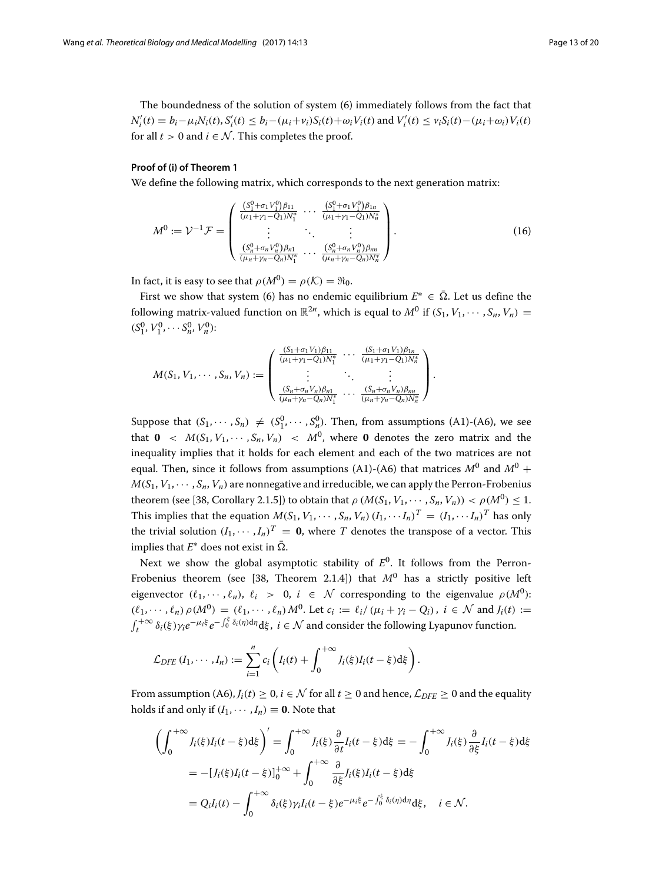The boundedness of the solution of system [\(6\)](#page-3-2) immediately follows from the fact that  $N'_{i}(t) = b_{i} - \mu_{i}N_{i}(t), S'_{i}(t) \le b_{i} - (\mu_{i} + \nu_{i})S_{i}(t) + \omega_{i}V_{i}(t)$  and  $V'_{i}(t) \le v_{i}S_{i}(t) - (\mu_{i} + \omega_{i})V_{i}(t)$ for all  $t > 0$  and  $i \in \mathcal{N}$ . This completes the proof.

# **Proof of (i) of Theorem [1](#page-7-2)**

We define the following matrix, which corresponds to the next generation matrix:

$$
M^{0} := \mathcal{V}^{-1} \mathcal{F} = \begin{pmatrix} \frac{(S_{1}^{0} + \sigma_{1} V_{1}^{0}) \beta_{11}}{(\mu_{1} + \gamma_{1} - Q_{1}) N_{1}^{*}} & \cdots & \frac{(S_{1}^{0} + \sigma_{1} V_{1}^{0}) \beta_{1n}}{(\mu_{1} + \gamma_{1} - Q_{1}) N_{n}^{*}} \\ \vdots & \ddots & \vdots \\ \frac{(S_{n}^{0} + \sigma_{n} V_{n}^{0}) \beta_{n1}}{(\mu_{n} + \gamma_{n} - Q_{n}) N_{1}^{*}} & \cdots & \frac{(S_{n}^{0} + \sigma_{n} V_{n}^{0}) \beta_{nm}}{(\mu_{n} + \gamma_{n} - Q_{n}) N_{n}^{*}} \end{pmatrix}.
$$
 (16)

In fact, it is easy to see that  $\rho(M^0) = \rho(\mathcal{K}) = \Re_0$ .

First we show that system [\(6\)](#page-3-2) has no endemic equilibrium  $E^* \in \overline{\Omega}$ . Let us define the following matrix-valued function on  $\mathbb{R}^{2n}$ , which is equal to  $M^0$  if  $(S_1, V_1, \dots, S_n, V_n)$  =  $(S_1^0, V_1^0, \cdots S_n^0, V_n^0)$ :

$$
M(S_1, V_1, \dots, S_n, V_n) := \begin{pmatrix} \frac{(S_1 + \sigma_1 V_1)\beta_{11}}{(\mu_1 + \gamma_1 - Q_1)N_1^*} & \cdots & \frac{(S_1 + \sigma_1 V_1)\beta_{1n}}{(\mu_1 + \gamma_1 - Q_1)N_n^*} \\ \vdots & \ddots & \vdots \\ \frac{(S_n + \sigma_n V_n)\beta_{n1}}{(\mu_n + \gamma_n - Q_n)N_1^*} & \cdots & \frac{(S_n + \sigma_n V_n)\beta_{nn}}{(\mu_n + \gamma_n - Q_n)N_n^*} \end{pmatrix}.
$$

Suppose that  $(S_1, \dots, S_n) \neq (S_1^0, \dots, S_n^0)$ . Then, from assumptions (A1)-(A6), we see that  $\mathbf{0} \prec M(S_1, V_1, \cdots, S_n, V_n) \prec M^0$ , where **0** denotes the zero matrix and the inequality implies that it holds for each element and each of the two matrices are not equal. Then, since it follows from assumptions (A1)-(A6) that matrices  $M^0$  and  $M^0$  +  $M(S_1, V_1, \dots, S_n, V_n)$  are nonnegative and irreducible, we can apply the Perron-Frobenius theorem (see [\[38,](#page-19-14) Corollary 2.1.5]) to obtain that  $\rho(M(S_1, V_1, \dots, S_n, V_n)) < \rho(M^0) \leq 1$ . This implies that the equation  $M(S_1, V_1, \dots, S_n, V_n)(I_1, \dots, I_n)^T = (I_1, \dots, I_n)^T$  has only the trivial solution  $(I_1, \dots, I_n)^T = 0$ , where *T* denotes the transpose of a vector. This implies that  $E^*$  does not exist in  $\overline{\Omega}$ .

Next we show the global asymptotic stability of  $E^0$ . It follows from the Perron-Frobenius theorem (see [\[38,](#page-19-14) Theorem 2.1.4]) that  $M^0$  has a strictly positive left eigenvector  $(\ell_1, \dots, \ell_n), \ell_i > 0, i \in \mathcal{N}$  corresponding to the eigenvalue  $\rho(M^0)$ :  $(\ell_1, \dots, \ell_n) \rho(M^0) = (\ell_1, \dots, \ell_n) M^0$ . Let  $c_i := \ell_i / (\mu_i + \gamma_i - Q_i)$ ,  $i \in \mathcal{N}$  and  $J_i(t) :=$  $\int_t^{+\infty} \delta_i(\xi) \gamma_i e^{-\mu_i \xi} e^{-\int_0^{\xi} \delta_i(\eta) d\eta} d\xi$ ,  $i \in \mathcal{N}$  and consider the following Lyapunov function.

$$
\mathcal{L}_{DFE} (I_1,\dots, I_n) := \sum_{i=1}^n c_i \left( I_i(t) + \int_0^{+\infty} J_i(\xi) I_i(t-\xi) d\xi \right).
$$

From assumption (A6),  $J_i(t) > 0$ ,  $i \in \mathcal{N}$  for all  $t > 0$  and hence,  $\mathcal{L}_{DEF} > 0$  and the equality holds if and only if  $(I_1, \dots, I_n) \equiv 0$ . Note that

$$
\left(\int_0^{+\infty} J_i(\xi)I_i(t-\xi)\mathrm{d}\xi\right)' = \int_0^{+\infty} J_i(\xi)\frac{\partial}{\partial t}I_i(t-\xi)\mathrm{d}\xi = -\int_0^{+\infty} J_i(\xi)\frac{\partial}{\partial \xi}I_i(t-\xi)\mathrm{d}\xi
$$
  
=  $-[J_i(\xi)I_i(t-\xi)]_0^{+\infty} + \int_0^{+\infty} \frac{\partial}{\partial \xi}J_i(\xi)I_i(t-\xi)\mathrm{d}\xi$   
=  $Q_iI_i(t) - \int_0^{+\infty} \delta_i(\xi)\gamma_iI_i(t-\xi)e^{-\mu_i\xi}e^{-\int_0^{\xi} \delta_i(\eta)\mathrm{d}\eta}\mathrm{d}\xi, \quad i \in \mathcal{N}.$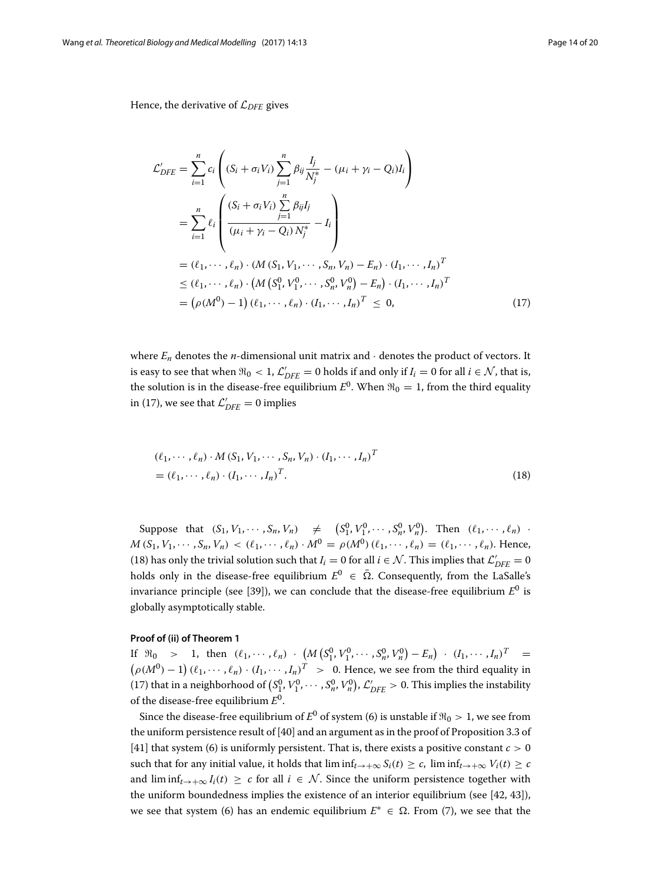Hence, the derivative of L*DFE* gives

<span id="page-13-0"></span>
$$
\mathcal{L}_{DFE}' = \sum_{i=1}^{n} c_i \left( (S_i + \sigma_i V_i) \sum_{j=1}^{n} \beta_{ij} \frac{I_j}{N_j^*} - (\mu_i + \gamma_i - Q_i) I_i \right)
$$
\n
$$
= \sum_{i=1}^{n} \ell_i \left( \frac{(S_i + \sigma_i V_i) \sum_{j=1}^{n} \beta_{ij} I_j}{(\mu_i + \gamma_i - Q_i) N_j^*} - I_i \right)
$$
\n
$$
= (\ell_1, \dots, \ell_n) \cdot (M (S_1, V_1, \dots, S_n, V_n) - E_n) \cdot (I_1, \dots, I_n)^T
$$
\n
$$
\leq (\ell_1, \dots, \ell_n) \cdot (M (S_1^0, V_1^0, \dots, S_n^0, V_n^0) - E_n) \cdot (I_1, \dots, I_n)^T
$$
\n
$$
= (\rho (M^0) - 1) (\ell_1, \dots, \ell_n) \cdot (I_1, \dots, I_n)^T \leq 0,
$$
\n(17)

where  $E_n$  denotes the *n*-dimensional unit matrix and  $\cdot$  denotes the product of vectors. It is easy to see that when  $\Re_0 < 1$ ,  $\mathcal{L}'_{DFE} = 0$  holds if and only if  $I_i = 0$  for all  $i \in \mathcal{N}$ , that is, the solution is in the disease-free equilibrium  $E^0$ . When  $\Re_0 = 1$ , from the third equality in [\(17\)](#page-13-0), we see that  $\mathcal{L}_{DFE}' = 0$  implies

<span id="page-13-1"></span>
$$
(\ell_1, \cdots, \ell_n) \cdot M(S_1, V_1, \cdots, S_n, V_n) \cdot (I_1, \cdots, I_n)^T
$$
  
= 
$$
(\ell_1, \cdots, \ell_n) \cdot (I_1, \cdots, I_n)^T.
$$
 (18)

Suppose that  $(S_1, V_1, \dots, S_n, V_n) \neq (S_1^0, V_1^0, \dots, S_n^0, V_n^0)$ . Then  $(\ell_1, \dots, \ell_n)$ .  $M(S_1, V_1, \dots, S_n, V_n) < (\ell_1, \dots, \ell_n) \cdot M^0 = \rho(M^0) (\ell_1, \dots, \ell_n) = (\ell_1, \dots, \ell_n)$ . Hence, [\(18\)](#page-13-1) has only the trivial solution such that  $I_i = 0$  for all  $i \in \mathcal{N}$ . This implies that  $\mathcal{L}'_{DFE} = 0$ holds only in the disease-free equilibrium  $E^0 \in \overline{\Omega}$ . Consequently, from the LaSalle's invariance principle (see [\[39\]](#page-19-15)), we can conclude that the disease-free equilibrium *E*<sup>0</sup> is globally asymptotically stable.

#### **Proof of (ii) of Theorem [1](#page-7-2)**

If  $\Re_0$  > 1, then  $(\ell_1, \cdots, \ell_n) \cdot (M(S_1^0, V_1^0, \cdots, S_n^0, V_n^0) - E_n) \cdot (I_1, \cdots, I_n)^T =$  $(\rho(M^0) - 1) (\ell_1, \dots, \ell_n) \cdot (I_1, \dots, I_n)^T > 0$ . Hence, we see from the third equality in [\(17\)](#page-13-0) that in a neighborhood of  $(S_1^0, V_1^0, \cdots, S_n^0, V_n^0)$ ,  $\mathcal{L}'_{DFE} > 0$ . This implies the instability of the disease-free equilibrium *E*0.

Since the disease-free equilibrium of  $E^0$  of system [\(6\)](#page-3-2) is unstable if  $\Re_0 > 1$ , we see from the uniform persistence result of [\[40\]](#page-19-16) and an argument as in the proof of Proposition 3.3 of [\[41\]](#page-19-17) that system [\(6\)](#page-3-2) is uniformly persistent. That is, there exists a positive constant  $c > 0$ such that for any initial value, it holds that  $\liminf_{t\to+\infty} S_i(t) \ge c$ ,  $\liminf_{t\to+\infty} V_i(t) \ge c$ and  $\liminf_{t\to+\infty} I_i(t) \geq c$  for all  $i \in \mathcal{N}$ . Since the uniform persistence together with the uniform boundedness implies the existence of an interior equilibrium (see [\[42,](#page-19-18) [43\]](#page-19-19)), we see that system [\(6\)](#page-3-2) has an endemic equilibrium  $E^*$  ∈ Ω. From [\(7\)](#page-3-3), we see that the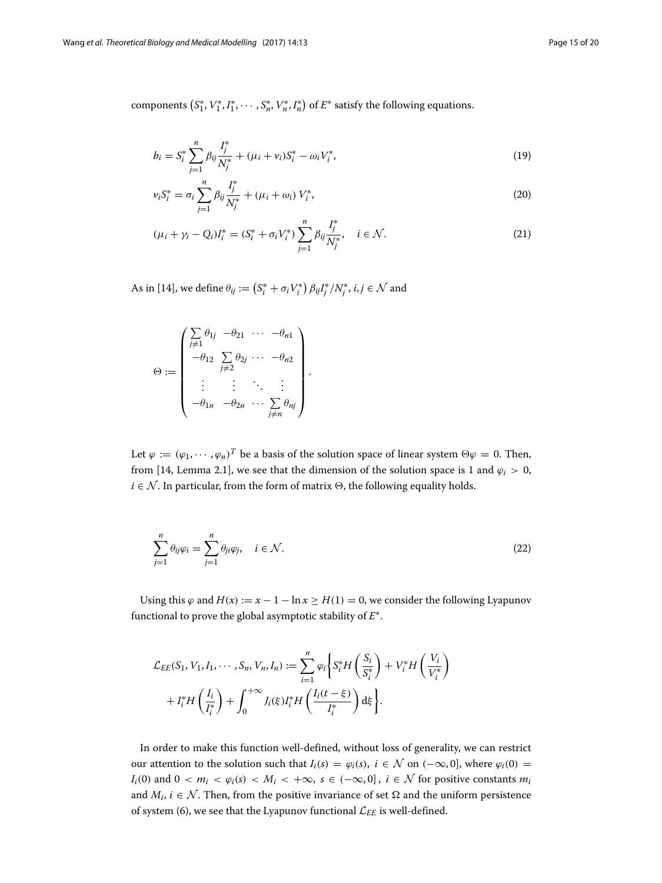components  $(S_1^*, V_1^*, I_1^*, \cdots, S_n^*, V_n^*, I_n^*)$  of  $E^*$  satisfy the following equations.

<span id="page-14-0"></span>
$$
b_i = S_i^* \sum_{j=1}^n \beta_{ij} \frac{I_j^*}{N_j^*} + (\mu_i + \nu_i) S_i^* - \omega_i V_i^*,
$$
\n(19)

<span id="page-14-3"></span>
$$
\nu_i S_i^* = \sigma_i \sum_{j=1}^n \beta_{ij} \frac{I_j^*}{N_j^*} + (\mu_i + \omega_i) V_i^*,
$$
\n(20)

<span id="page-14-1"></span>
$$
(\mu_i + \gamma_i - Q_i)I_i^* = (S_i^* + \sigma_i V_i^*) \sum_{j=1}^n \beta_{ij} \frac{I_j^*}{N_j^*}, \quad i \in \mathcal{N}.
$$
 (21)

As in [\[14\]](#page-18-10), we define  $\theta_{ij} := \left(S^*_i + \sigma_i V^*_i\right) \beta_{ij} I^*_j / N^*_j$ ,  $i, j \in \mathcal{N}$  and

$$
\Theta := \begin{pmatrix}\n\sum_{j \neq 1} \theta_{1j} & -\theta_{21} & \cdots & -\theta_{n1} \\
-\theta_{12} & \sum_{j \neq 2} \theta_{2j} & \cdots & -\theta_{n2} \\
\vdots & \vdots & \ddots & \vdots \\
-\theta_{1n} & -\theta_{2n} & \cdots & \sum_{j \neq n} \theta_{nj}\n\end{pmatrix}.
$$

<span id="page-14-2"></span>Let  $\varphi := (\varphi_1, \dots, \varphi_n)^T$  be a basis of the solution space of linear system  $\Theta \varphi = 0$ . Then, from [\[14,](#page-18-10) Lemma 2.1], we see that the dimension of the solution space is 1 and  $\varphi_i > 0$ ,  $i \in \mathcal{N}$ . In particular, from the form of matrix  $\Theta$ , the following equality holds.

$$
\sum_{j=1}^{n} \theta_{ij} \varphi_i = \sum_{j=1}^{n} \theta_{ji} \varphi_j, \quad i \in \mathcal{N}.
$$
\n(22)

Using this  $\varphi$  and  $H(x) := x - 1 - \ln x \ge H(1) = 0$ , we consider the following Lyapunov functional to prove the global asymptotic stability of *E*∗.

$$
\mathcal{L}_{EE}(S_1, V_1, I_1, \cdots, S_n, V_n, I_n) := \sum_{i=1}^n \varphi_i \left\{ S_i^* H\left(\frac{S_i}{S_i^*}\right) + V_i^* H\left(\frac{V_i}{V_i^*}\right) + I_i^* H\left(\frac{I_i}{I_i^*}\right) + \int_0^{+\infty} J_i(\xi) I_i^* H\left(\frac{I_i(t-\xi)}{I_i^*}\right) d\xi \right\}.
$$

In order to make this function well-defined, without loss of generality, we can restrict our attention to the solution such that  $I_i(s) = \varphi_i(s)$ ,  $i \in \mathcal{N}$  on  $(-\infty, 0]$ , where  $\varphi_i(0) =$ *I<sub>i</sub>*(0) and  $0 < m_i < \varphi_i(s) < M_i < +\infty$ ,  $s \in (-\infty, 0]$ ,  $i \in \mathcal{N}$  for positive constants  $m_i$ and  $M_i$ ,  $i \in \mathcal{N}$ . Then, from the positive invariance of set  $\Omega$  and the uniform persistence of system [\(6\)](#page-3-2), we see that the Lyapunov functional  $\mathcal{L}_{EE}$  is well-defined.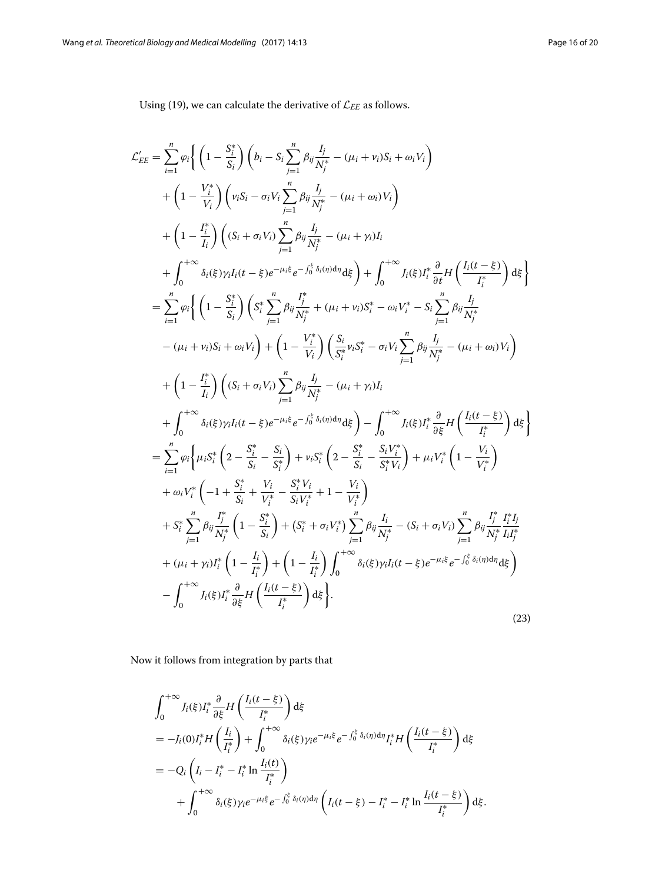<span id="page-15-0"></span>Using [\(19\)](#page-14-0), we can calculate the derivative of  $\mathcal{L}_{EE}$  as follows.

$$
\mathcal{L}'_{EE} = \sum_{i=1}^{n} \varphi_{i} \left( \left( 1 - \frac{S_{i}^{*}}{S_{i}} \right) \left( b_{i} - S_{i} \sum_{j=1}^{n} \beta_{ij} \frac{I_{j}}{N_{j}^{*}} - (\mu_{i} + \nu_{i}) S_{i} + \omega_{i} V_{i} \right) \right. \\
\left. + \left( 1 - \frac{V_{i}^{*}}{V_{i}} \right) \left( \nu_{i} S_{i} - \sigma_{i} V_{i} \sum_{j=1}^{n} \beta_{ij} \frac{I_{j}}{N_{j}^{*}} - (\mu_{i} + \omega_{i}) V_{i} \right) \\
+ \left( 1 - \frac{I_{i}^{*}}{I_{i}} \right) \left( (S_{i} + \sigma_{i} V_{i}) \sum_{j=1}^{n} \beta_{ij} \frac{I_{j}}{N_{j}^{*}} - (\mu_{i} + \gamma_{i}) I_{i} \right. \\
\left. + \int_{0}^{+\infty} \delta_{i}(\xi) \gamma_{i} I_{i} (t - \xi) e^{-\mu_{i} \xi} e^{-\int_{0}^{\xi} \delta_{i}(\eta) d\eta} d\xi \right) + \int_{0}^{+\infty} J_{i}(\xi) I_{i}^{*} \frac{\partial}{\partial t} H \left( \frac{I_{i} (t - \xi)}{I_{i}^{*}} \right) d\xi \right. \\
= \sum_{i=1}^{n} \varphi_{i} \left( \left( 1 - \frac{S_{i}^{*}}{S_{i}} \right) \left( S_{i}^{*} \sum_{j=1}^{n} \beta_{ij} \frac{I_{j}^{*}}{N_{j}^{*}} + (\mu_{i} + \nu_{i}) S_{i}^{*} - \omega_{i} V_{i}^{*} - S_{i} \sum_{j=1}^{n} \beta_{ij} \frac{I_{j}}{N_{j}^{*}} - (\mu_{i} + \omega_{i}) V_{i} \right) \\
+ \left( 1 - \frac{I_{i}^{*}}{I_{i}} \right) \left( (S_{i} + \sigma_{i} V_{i}) \sum_{j=1}^{n} \beta_{ij} \frac{I_{j}}{N_{j}^{*}} - (\mu_{i} + \gamma_{i}) I_{i} \right. \\
\left. + \int_{0}^{+\infty} \delta_{i}(\xi) \gamma_{i}
$$

Now it follows from integration by parts that

$$
\int_0^{+\infty} J_i(\xi) I_i^* \frac{\partial}{\partial \xi} H\left(\frac{I_i(t-\xi)}{I_i^*}\right) d\xi
$$
  
=  $-J_i(0) I_i^* H\left(\frac{I_i}{I_i^*}\right) + \int_0^{+\infty} \delta_i(\xi) \gamma_i e^{-\mu_i \xi} e^{-\int_0^{\xi} \delta_i(\eta) d\eta} I_i^* H\left(\frac{I_i(t-\xi)}{I_i^*}\right) d\xi$   
=  $-Q_i \left(I_i - I_i^* - I_i^* \ln \frac{I_i(t)}{I_i^*}\right)$   
+  $\int_0^{+\infty} \delta_i(\xi) \gamma_i e^{-\mu_i \xi} e^{-\int_0^{\xi} \delta_i(\eta) d\eta} \left(I_i(t-\xi) - I_i^* - I_i^* \ln \frac{I_i(t-\xi)}{I_i^*}\right) d\xi.$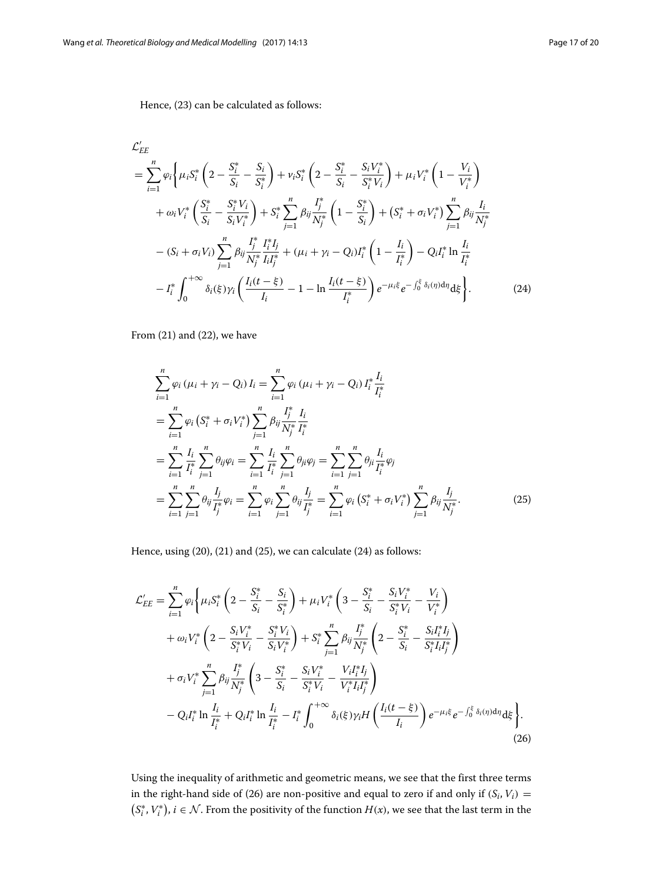Hence, [\(23\)](#page-15-0) can be calculated as follows:

$$
\mathcal{L}'_{EE} = \sum_{i=1}^{n} \varphi_{i} \left\{ \mu_{i} S_{i}^{*} \left( 2 - \frac{S_{i}^{*}}{S_{i}} - \frac{S_{i}}{S_{i}^{*}} \right) + \nu_{i} S_{i}^{*} \left( 2 - \frac{S_{i}^{*}}{S_{i}} - \frac{S_{i} V_{i}^{*}}{S_{i}^{*} V_{i}} \right) + \mu_{i} V_{i}^{*} \left( 1 - \frac{V_{i}}{V_{i}^{*}} \right) \right. \\
\left. + \omega_{i} V_{i}^{*} \left( \frac{S_{i}^{*}}{S_{i}} - \frac{S_{i}^{*} V_{i}}{S_{i} V_{i}^{*}} \right) + S_{i}^{*} \sum_{j=1}^{n} \beta_{ij} \frac{I_{j}^{*}}{N_{j}^{*}} \left( 1 - \frac{S_{i}^{*}}{S_{i}} \right) + \left( S_{i}^{*} + \sigma_{i} V_{i}^{*} \right) \sum_{j=1}^{n} \beta_{ij} \frac{I_{i}^{*}}{N_{j}^{*}} - (S_{i} + \sigma_{i} V_{i}) \sum_{j=1}^{n} \beta_{ij} \frac{I_{j}^{*}}{N_{j}^{*}} \frac{I_{i}^{*} I_{j}}{I_{i} I_{j}^{*}} + (\mu_{i} + \gamma_{i} - Q_{i}) I_{i}^{*} \left( 1 - \frac{I_{i}}{I_{i}^{*}} \right) - Q_{i} I_{i}^{*} \ln \frac{I_{i}}{I_{i}^{*}} \\
- I_{i}^{*} \int_{0}^{+\infty} \delta_{i}(\xi) \gamma_{i} \left( \frac{I_{i}(t - \xi)}{I_{i}} - 1 - \ln \frac{I_{i}(t - \xi)}{I_{i}^{*}} \right) e^{-\mu_{i} \xi} e^{-\int_{0}^{\xi} \delta_{i}(\eta) d\eta} d\xi \right). \tag{24}
$$

From [\(21\)](#page-14-1) and [\(22\)](#page-14-2), we have

<span id="page-16-1"></span><span id="page-16-0"></span>
$$
\sum_{i=1}^{n} \varphi_i (\mu_i + \gamma_i - Q_i) I_i = \sum_{i=1}^{n} \varphi_i (\mu_i + \gamma_i - Q_i) I_i^* \frac{I_i}{I_i^*}
$$
  
\n
$$
= \sum_{i=1}^{n} \varphi_i (S_i^* + \sigma_i V_i^*) \sum_{j=1}^{n} \beta_{ij} \frac{I_j^*}{N_j^*} \frac{I_i}{I_i^*}
$$
  
\n
$$
= \sum_{i=1}^{n} \frac{I_i}{I_i^*} \sum_{j=1}^{n} \theta_{ij} \varphi_i = \sum_{i=1}^{n} \frac{I_i}{I_i^*} \sum_{j=1}^{n} \theta_{ji} \varphi_j = \sum_{i=1}^{n} \sum_{j=1}^{n} \theta_{ij} \frac{I_i}{I_i^*} \varphi_j
$$
  
\n
$$
= \sum_{i=1}^{n} \sum_{j=1}^{n} \theta_{ij} \frac{I_j}{I_j^*} \varphi_i = \sum_{i=1}^{n} \varphi_i \sum_{j=1}^{n} \theta_{ij} \frac{I_j}{I_j^*} = \sum_{i=1}^{n} \varphi_i (S_i^* + \sigma_i V_i^*) \sum_{j=1}^{n} \beta_{ij} \frac{I_j}{N_j^*}.
$$
 (25)

Hence, using [\(20\)](#page-14-3), [\(21\)](#page-14-1) and [\(25\)](#page-16-0), we can calculate [\(24\)](#page-16-1) as follows:

$$
\mathcal{L}'_{EE} = \sum_{i=1}^{n} \varphi_{i} \left\{ \mu_{i} S_{i}^{*} \left( 2 - \frac{S_{i}^{*}}{S_{i}} - \frac{S_{i}}{S_{i}^{*}} \right) + \mu_{i} V_{i}^{*} \left( 3 - \frac{S_{i}^{*}}{S_{i}} - \frac{S_{i} V_{i}^{*}}{S_{i}^{*} V_{i}} - \frac{V_{i}}{V_{i}^{*}} \right) \right.\n+ \omega_{i} V_{i}^{*} \left( 2 - \frac{S_{i} V_{i}^{*}}{S_{i}^{*} V_{i}} - \frac{S_{i}^{*} V_{i}}{S_{i} V_{i}^{*}} \right) + S_{i}^{*} \sum_{j=1}^{n} \beta_{ij} \frac{I_{j}^{*}}{N_{j}^{*}} \left( 2 - \frac{S_{i}^{*}}{S_{i}} - \frac{S_{i} I_{i}^{*} I_{j}}{S_{i}^{*} I_{i} I_{j}^{*}} \right) \right.\n+ \sigma_{i} V_{i}^{*} \sum_{j=1}^{n} \beta_{ij} \frac{I_{j}^{*}}{N_{j}^{*}} \left( 3 - \frac{S_{i}^{*}}{S_{i}} - \frac{S_{i} V_{i}^{*}}{S_{i}^{*} V_{i}} - \frac{V_{i} I_{i}^{*} I_{j}}{V_{i}^{*} I_{i} I_{j}^{*}} \right) \left. - Q_{i} I_{i}^{*} \ln \frac{I_{i}}{I_{i}^{*}} + Q_{i} I_{i}^{*} \ln \frac{I_{i}}{I_{i}^{*}} - I_{i}^{*} \int_{0}^{+\infty} \delta_{i}(\xi) \gamma_{i} H \left( \frac{I_{i}(t-\xi)}{I_{i}} \right) e^{-\mu_{i} \xi} e^{-\int_{0}^{\xi} \delta_{i}(\eta) d\eta} d\xi \right).
$$
\n(26)

<span id="page-16-2"></span>Using the inequality of arithmetic and geometric means, we see that the first three terms in the right-hand side of [\(26\)](#page-16-2) are non-positive and equal to zero if and only if  $(S_i, V_i)$  =  $(S_i^*, V_i^*)$ , *i* ∈ N. From the positivity of the function *H*(*x*), we see that the last term in the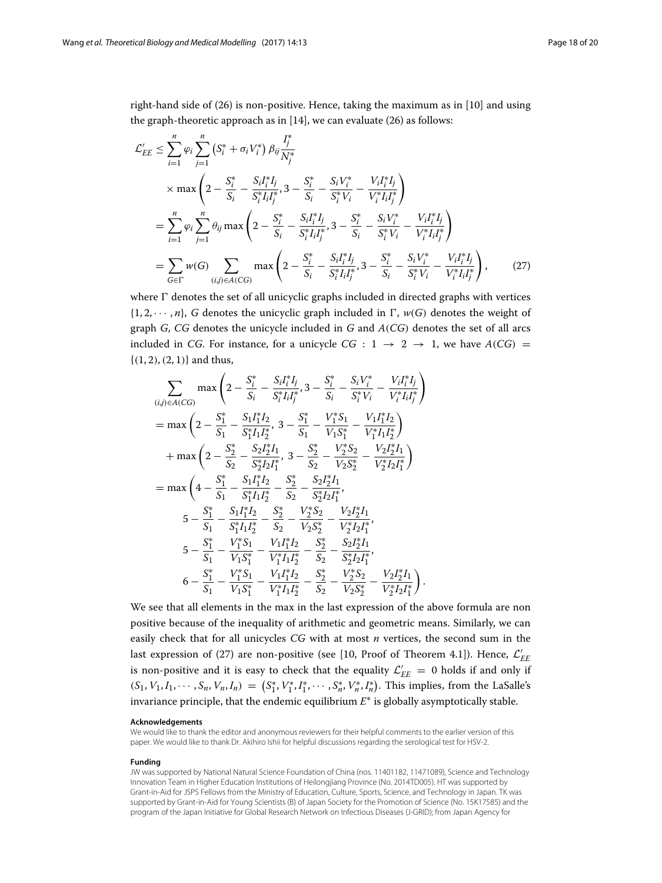right-hand side of [\(26\)](#page-16-2) is non-positive. Hence, taking the maximum as in [\[10\]](#page-18-7) and using the graph-theoretic approach as in [\[14\]](#page-18-10), we can evaluate [\(26\)](#page-16-2) as follows:

$$
\mathcal{L}'_{EE} \leq \sum_{i=1}^{n} \varphi_{i} \sum_{j=1}^{n} \left( S_{i}^{*} + \sigma_{i} V_{i}^{*} \right) \beta_{ij} \frac{I_{j}^{*}}{N_{j}^{*}}
$$
\n
$$
\times \max \left( 2 - \frac{S_{i}^{*}}{S_{i}} - \frac{S_{i} I_{i}^{*} I_{j}}{S_{i}^{*} I_{i} I_{j}^{*}}, 3 - \frac{S_{i}^{*}}{S_{i}} - \frac{S_{i} V_{i}^{*}}{S_{i}^{*} V_{i}} - \frac{V_{i} I_{i}^{*} I_{j}}{V_{i}^{*} I_{i} I_{j}^{*}} \right)
$$
\n
$$
= \sum_{i=1}^{n} \varphi_{i} \sum_{j=1}^{n} \theta_{ij} \max \left( 2 - \frac{S_{i}^{*}}{S_{i}} - \frac{S_{i} I_{i}^{*} I_{j}}{S_{i}^{*} I_{i} I_{j}^{*}}, 3 - \frac{S_{i}^{*}}{S_{i}} - \frac{S_{i} V_{i}^{*}}{S_{i}^{*} V_{i}} - \frac{V_{i} I_{i}^{*} I_{j}}{V_{i}^{*} I_{i} I_{j}^{*}} \right)
$$
\n
$$
= \sum_{G \in \Gamma} w(G) \sum_{(i,j) \in A(CG)} \max \left( 2 - \frac{S_{i}^{*}}{S_{i}} - \frac{S_{i} I_{i}^{*} I_{j}}{S_{i}^{*} I_{i} I_{j}^{*}}, 3 - \frac{S_{i}^{*}}{S_{i}} - \frac{S_{i} V_{i}^{*}}{S_{i}^{*} V_{i}} - \frac{V_{i} I_{i}^{*} I_{j}}{V_{i}^{*} I_{i} I_{j}^{*}} \right), \qquad (27)
$$

where  $\Gamma$  denotes the set of all unicyclic graphs included in directed graphs with vertices  $\{1, 2, \dots, n\}$ , *G* denotes the unicyclic graph included in  $\Gamma$ ,  $w(G)$  denotes the weight of graph *G*, *CG* denotes the unicycle included in *G* and *A*(*CG*) denotes the set of all arcs included in *CG*. For instance, for a unicycle  $CG: 1 \rightarrow 2 \rightarrow 1$ , we have  $A(CG)$  =  $\{(1, 2), (2, 1)\}\$ and thus,

<span id="page-17-0"></span>
$$
\sum_{(i,j)\in A(CG)} \max\left(2 - \frac{S_i^*}{S_i} - \frac{S_i I_i^* I_j}{S_i^* I_i I_j^*}, 3 - \frac{S_i^*}{S_i} - \frac{S_i V_i^*}{S_i^* V_i} - \frac{V_i I_i^* I_j}{V_i^* I_i I_j^*}\right)
$$
\n
$$
= \max\left(2 - \frac{S_1^*}{S_1} - \frac{S_1 I_1^* I_2}{S_1^* I_1 I_2^*}, 3 - \frac{S_1^*}{S_1} - \frac{V_1^* S_1}{V_1 S_1^*} - \frac{V_1 I_1^* I_2}{V_1^* I_1 I_2^*}\right)
$$
\n
$$
+ \max\left(2 - \frac{S_2^*}{S_2} - \frac{S_2 I_2^* I_1}{S_2^* I_2 I_1^*}, 3 - \frac{S_2^*}{S_2} - \frac{V_2^* S_2}{V_2 S_2^*} - \frac{V_2 I_2^* I_1}{V_2^* I_2 I_1^*}\right)
$$
\n
$$
= \max\left(4 - \frac{S_1^*}{S_1} - \frac{S_1 I_1^* I_2}{S_1^* I_1 I_2^*} - \frac{S_2^*}{S_2} - \frac{S_2 I_2^* I_1}{S_2^* I_2 I_1^*},
$$
\n
$$
5 - \frac{S_1^*}{S_1} - \frac{S_1 I_1^* I_2}{S_1^* I_1 I_2^*} - \frac{S_2^*}{S_2} - \frac{V_2^* S_2}{V_2 S_2^*} - \frac{V_2 I_2^* I_1}{V_2^* I_2 I_1^*},
$$
\n
$$
5 - \frac{S_1^*}{S_1} - \frac{V_1^* S_1}{V_1 S_1^*} - \frac{V_1 I_1^* I_2}{V_1^* I_1 I_2^*} - \frac{S_2^*}{S_2} - \frac{S_2 I_2^* I_1}{S_2^* I_2 I_1^*},
$$
\n
$$
6 - \frac{S_1^*}{S_1} - \frac{V_1^* S_1}{V_1 S
$$

We see that all elements in the max in the last expression of the above formula are non positive because of the inequality of arithmetic and geometric means. Similarly, we can easily check that for all unicycles *CG* with at most *n* vertices, the second sum in the last expression of [\(27\)](#page-17-0) are non-positive (see [\[10,](#page-18-7) Proof of Theorem 4.1]). Hence,  $\mathcal{L}_{EE}'$ is non-positive and it is easy to check that the equality  $\mathcal{L}_{EE}' = 0$  holds if and only if  $(S_1, V_1, I_1, \dots, S_n, V_n, I_n) = (S_1^*, V_1^*, I_1^*, \dots, S_n^*, V_n^*, I_n^*).$  This implies, from the LaSalle's invariance principle, that the endemic equilibrium *E*∗ is globally asymptotically stable.

#### **Acknowledgements**

We would like to thank the editor and anonymous reviewers for their helpful comments to the earlier version of this paper. We would like to thank Dr. Akihiro Ishii for helpful discussions regarding the serological test for HSV-2.

#### **Funding**

JW was supported by National Natural Science Foundation of China (nos. 11401182, 11471089), Science and Technology Innovation Team in Higher Education Institutions of Heilongjiang Province (No. 2014TD005). HT was supported by Grant-in-Aid for JSPS Fellows from the Ministry of Education, Culture, Sports, Science, and Technology in Japan. TK was supported by Grant-in-Aid for Young Scientists (B) of Japan Society for the Promotion of Science (No. 15K17585) and the program of the Japan Initiative for Global Research Network on Infectious Diseases (J-GRID); from Japan Agency for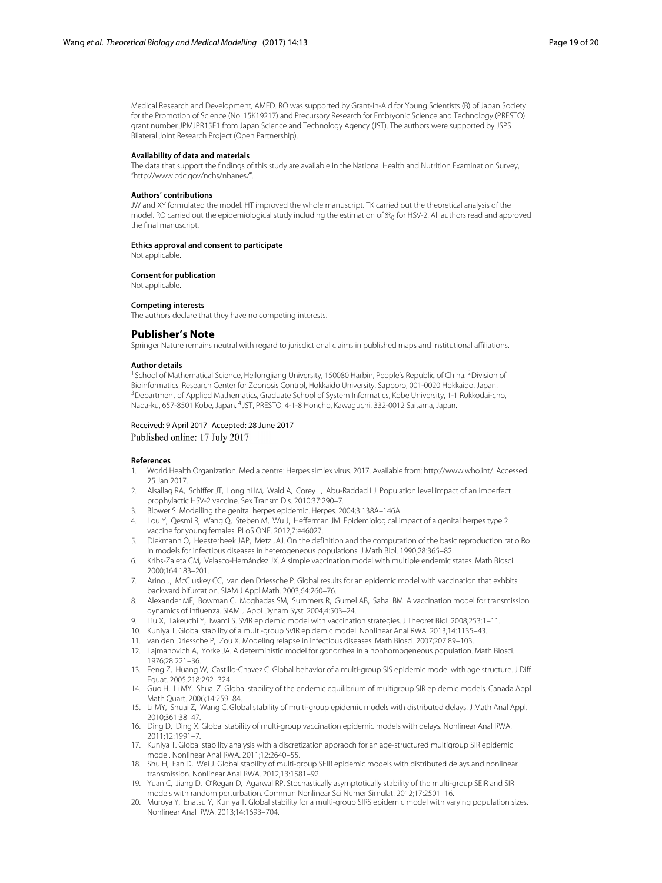Medical Research and Development, AMED. RO was supported by Grant-in-Aid for Young Scientists (B) of Japan Society for the Promotion of Science (No. 15K19217) and Precursory Research for Embryonic Science and Technology (PRESTO) grant number JPMJPR15E1 from Japan Science and Technology Agency (JST). The authors were supported by JSPS Bilateral Joint Research Project (Open Partnership).

#### **Availability of data and materials**

The data that support the findings of this study are available in the National Health and Nutrition Examination Survey, "http://www.cdc.gov/nchs/nhanes/".

#### **Authors' contributions**

JW and XY formulated the model. HT improved the whole manuscript. TK carried out the theoretical analysis of the model. RO carried out the epidemiological study including the estimation of  $\mathfrak{R}_0$  for HSV-2. All authors read and approved the final manuscript.

#### **Ethics approval and consent to participate**

Not applicable.

#### **Consent for publication**

Not applicable.

#### **Competing interests**

The authors declare that they have no competing interests.

#### **Publisher's Note**

Springer Nature remains neutral with regard to jurisdictional claims in published maps and institutional affiliations.

#### **Author details**

<sup>1</sup> School of Mathematical Science, Heilongjiang University, 150080 Harbin, People's Republic of China. <sup>2</sup>Division of Bioinformatics, Research Center for Zoonosis Control, Hokkaido University, Sapporo, 001-0020 Hokkaido, Japan. <sup>3</sup> Department of Applied Mathematics, Graduate School of System Informatics, Kobe University, 1-1 Rokkodai-cho, Nada-ku, 657-8501 Kobe, Japan. 4JST, PRESTO, 4-1-8 Honcho, Kawaguchi, 332-0012 Saitama, Japan.

#### Received: 9 April 2017 Accepted: 28 June 2017 Published online: 17 July 2017

#### **References**

- <span id="page-18-0"></span>1. World Health Organization. Media centre: Herpes simlex virus. 2017. Available from: [http://www.who.int/.](http://www.who.int/) Accessed 25 Jan 2017.
- <span id="page-18-1"></span>2. Alsallaq RA, Schiffer JT, Longini IM, Wald A, Corey L, Abu-Raddad LJ. Population level impact of an imperfect prophylactic HSV-2 vaccine. Sex Transm Dis. 2010;37:290–7.
- <span id="page-18-3"></span>3. Blower S. Modelling the genital herpes epidemic. Herpes. 2004;3:138A–146A.
- <span id="page-18-2"></span>4. Lou Y, Qesmi R, Wang Q, Steben M, Wu J, Hefferman JM. Epidemiological impact of a genital herpes type 2 vaccine for young females. PLoS ONE. 2012;7:e46027.
- <span id="page-18-4"></span>5. Diekmann O, Heesterbeek JAP, Metz JAJ. On the definition and the computation of the basic reproduction ratio Ro in models for infectious diseases in heterogeneous populations. J Math Biol. 1990;28:365–82.
- <span id="page-18-5"></span>6. Kribs-Zaleta CM, Velasco-Hernández JX. A simple vaccination model with multiple endemic states. Math Biosci. 2000;164:183–201.
- 7. Arino J, McCluskey CC, van den Driessche P. Global results for an epidemic model with vaccination that exhbits backward bifurcation. SIAM J Appl Math. 2003;64:260–76.
- <span id="page-18-6"></span>8. Alexander ME, Bowman C, Moghadas SM, Summers R, Gumel AB, Sahai BM. A vaccination model for transmission dynamics of influenza. SIAM J Appl Dynam Syst. 2004;4:503–24.
- 9. Liu X, Takeuchi Y, Iwami S. SVIR epidemic model with vaccination strategies. J Theoret Biol. 2008;253:1–11.
- <span id="page-18-7"></span>10. Kuniya T. Global stability of a multi-group SVIR epidemic model. Nonlinear Anal RWA. 2013;14:1135–43.
- <span id="page-18-8"></span>11. van den Driessche P, Zou X. Modeling relapse in infectious diseases. Math Biosci. 2007;207:89–103.
- <span id="page-18-9"></span>12. Lajmanovich A, Yorke JA. A deterministic model for gonorrhea in a nonhomogeneous population. Math Biosci. 1976;28:221–36.
- 13. Feng Z, Huang W, Castillo-Chavez C. Global behavior of a multi-group SIS epidemic model with age structure. J Diff Equat. 2005;218:292–324.
- <span id="page-18-10"></span>14. Guo H, Li MY, Shuai Z. Global stability of the endemic equilibrium of multigroup SIR epidemic models. Canada Appl Math Quart. 2006;14:259–84.
- 15. Li MY, Shuai Z, Wang C. Global stability of multi-group epidemic models with distributed delays. J Math Anal Appl. 2010;361:38–47.
- 16. Ding D, Ding X. Global stability of multi-group vaccination epidemic models with delays. Nonlinear Anal RWA. 2011;12:1991–7.
- 17. Kuniya T. Global stability analysis with a discretization appraoch for an age-structured multigroup SIR epidemic model. Nonlinear Anal RWA. 2011;12:2640–55.
- 18. Shu H, Fan D, Wei J. Global stability of multi-group SEIR epidemic models with distributed delays and nonlinear transmission. Nonlinear Anal RWA. 2012;13:1581–92.
- 19. Yuan C, Jiang D, O'Regan D, Agarwal RP. Stochastically asymptotically stability of the multi-group SEIR and SIR models with random perturbation. Commun Nonlinear Sci Numer Simulat. 2012;17:2501–16.
- 20. Muroya Y, Enatsu Y, Kuniya T. Global stability for a multi-group SIRS epidemic model with varying population sizes. Nonlinear Anal RWA. 2013;14:1693–704.